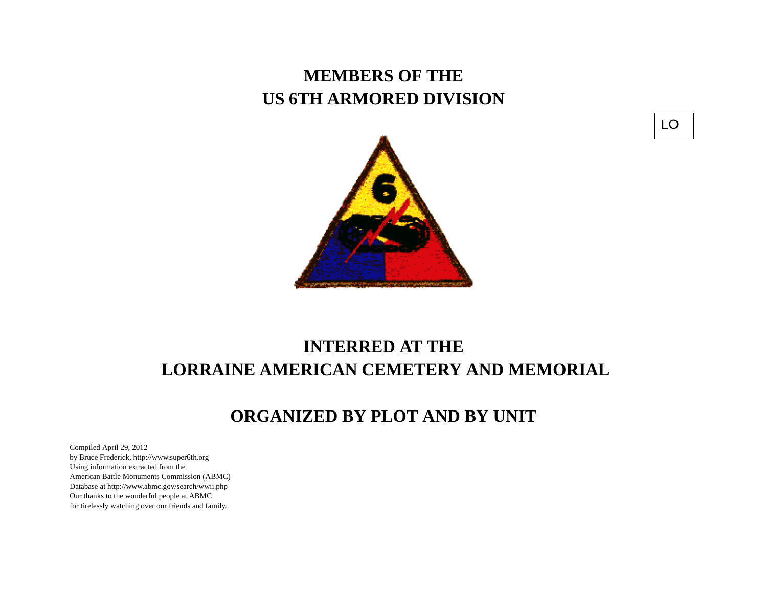## **MEMBERS OF THE US 6TH ARMORED DIVISION**



# **INTERRED AT THE LORRAINE AMERICAN CEMETERY AND MEMORIAL**

### **ORGANIZED BY PLOT AND BY UNIT**

Compiled April 29, 2012 by Bruce Frederick, http://www.super6th.orgUsing information extracted from the American Battle Monuments Commission (ABMC) Database at http://www.abmc.gov/search/wwii.phpOur thanks to the wonderful people at ABMC for tirelessly watching over our friends and family.

LO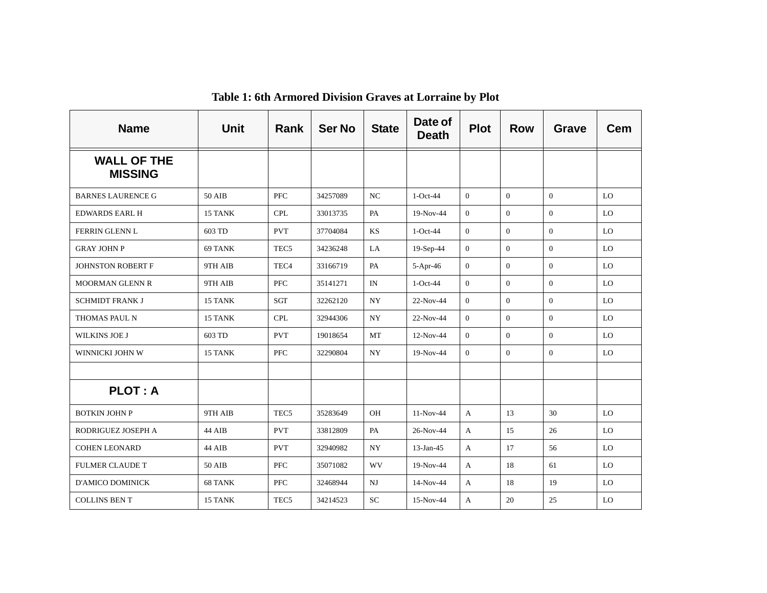| <b>Name</b>                          | <b>Unit</b> | Rank             | <b>Ser No</b> | <b>State</b> | Date of<br><b>Death</b> | <b>Plot</b>    | <b>Row</b>     | <b>Grave</b>   | <b>Cem</b> |
|--------------------------------------|-------------|------------------|---------------|--------------|-------------------------|----------------|----------------|----------------|------------|
| <b>WALL OF THE</b><br><b>MISSING</b> |             |                  |               |              |                         |                |                |                |            |
| <b>BARNES LAURENCE G</b>             | 50 AIB      | <b>PFC</b>       | 34257089      | NC           | $1-Oct-44$              | $\overline{0}$ | $\overline{0}$ | $\theta$       | LO         |
| <b>EDWARDS EARL H</b>                | 15 TANK     | <b>CPL</b>       | 33013735      | PA           | 19-Nov-44               | $\overline{0}$ | $\mathbf{0}$   | $\overline{0}$ | LO         |
| FERRIN GLENN L                       | 603 TD      | <b>PVT</b>       | 37704084      | KS           | $1-Oct-44$              | $\overline{0}$ | $\mathbf{0}$   | $\overline{0}$ | LO         |
| <b>GRAY JOHN P</b>                   | 69 TANK     | TEC <sub>5</sub> | 34236248      | LA           | $19-Sep-44$             | $\overline{0}$ | $\theta$       | $\theta$       | LO         |
| <b>JOHNSTON ROBERT F</b>             | 9TH AIB     | TEC <sub>4</sub> | 33166719      | PA           | $5-Apr-46$              | $\overline{0}$ | $\overline{0}$ | $\Omega$       | LO.        |
| <b>MOORMAN GLENN R</b>               | 9TH AIB     | <b>PFC</b>       | 35141271      | IN           | $1-Oct-44$              | $\overline{0}$ | $\Omega$       | $\theta$       | LO         |
| <b>SCHMIDT FRANK J</b>               | 15 TANK     | SGT              | 32262120      | <b>NY</b>    | 22-Nov-44               | $\overline{0}$ | $\theta$       | $\theta$       | LO         |
| THOMAS PAUL N                        | 15 TANK     | <b>CPL</b>       | 32944306      | <b>NY</b>    | 22-Nov-44               | $\overline{0}$ | $\overline{0}$ | $\overline{0}$ | LO         |
| WILKINS JOE J                        | 603 TD      | <b>PVT</b>       | 19018654      | MT           | $12-Nov-44$             | $\overline{0}$ | $\overline{0}$ | $\overline{0}$ | LO         |
| WINNICKI JOHN W                      | 15 TANK     | <b>PFC</b>       | 32290804      | <b>NY</b>    | 19-Nov-44               | $\Omega$       | $\overline{0}$ | $\Omega$       | LO         |
|                                      |             |                  |               |              |                         |                |                |                |            |
| <b>PLOT: A</b>                       |             |                  |               |              |                         |                |                |                |            |
| <b>BOTKIN JOHN P</b>                 | 9TH AIB     | TEC <sub>5</sub> | 35283649      | OH           | $11-Nov-44$             | $\mathbf{A}$   | 13             | 30             | LO         |
| RODRIGUEZ JOSEPH A                   | 44 AIB      | <b>PVT</b>       | 33812809      | PA           | 26-Nov-44               | $\mathbf{A}$   | 15             | 26             | LO         |
| <b>COHEN LEONARD</b>                 | 44 AIB      | <b>PVT</b>       | 32940982      | <b>NY</b>    | $13$ -Jan-45            | $\mathbf{A}$   | 17             | 56             | LO         |
| <b>FULMER CLAUDE T</b>               | 50 AIB      | <b>PFC</b>       | 35071082      | WV           | 19-Nov-44               | $\mathbf{A}$   | 18             | 61             | LO         |
| <b>D'AMICO DOMINICK</b>              | 68 TANK     | <b>PFC</b>       | 32468944      | $_{\rm NJ}$  | 14-Nov-44               | $\mathbf{A}$   | 18             | 19             | LO         |
| <b>COLLINS BENT</b>                  | 15 TANK     | TEC <sub>5</sub> | 34214523      | <b>SC</b>    | 15-Nov-44               | A              | 20             | 25             | LO         |

**Table 1: 6th Armored Division Graves at Lorraine by Plot**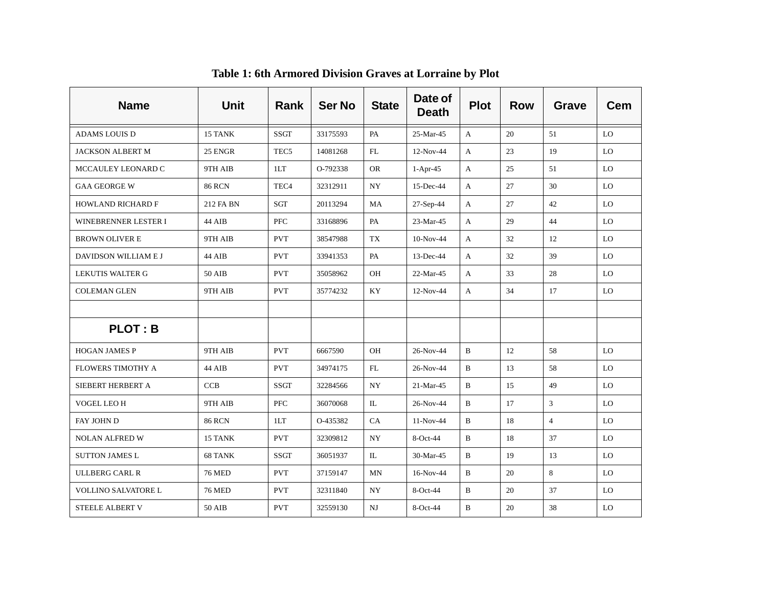| <b>Name</b>                | <b>Unit</b>   | Rank             | <b>Ser No</b> | <b>State</b>             | Date of<br><b>Death</b> | <b>Plot</b>  | <b>Row</b> | Grave          | <b>Cem</b> |
|----------------------------|---------------|------------------|---------------|--------------------------|-------------------------|--------------|------------|----------------|------------|
| <b>ADAMS LOUIS D</b>       | 15 TANK       | <b>SSGT</b>      | 33175593      | PA                       | 25-Mar-45               | A            | 20         | 51             | LO         |
| <b>JACKSON ALBERT M</b>    | 25 ENGR       | TEC <sub>5</sub> | 14081268      | FL                       | 12-Nov-44               | $\mathbf{A}$ | 23         | 19             | LO         |
| MCCAULEY LEONARD C         | 9TH AIB       | 1LT              | O-792338      | <b>OR</b>                | $1-Apr-45$              | A            | 25         | 51             | LO.        |
| <b>GAA GEORGE W</b>        | <b>86 RCN</b> | TEC <sub>4</sub> | 32312911      | $\ensuremath{\text{NY}}$ | 15-Dec-44               | A            | 27         | 30             | <b>LO</b>  |
| <b>HOWLAND RICHARD F</b>   | 212 FA BN     | SGT              | 20113294      | MA                       | 27-Sep-44               | A            | 27         | 42             | LO         |
| WINEBRENNER LESTER I       | 44 AIB        | <b>PFC</b>       | 33168896      | PA                       | 23-Mar-45               | A            | 29         | 44             | LO.        |
| <b>BROWN OLIVER E</b>      | 9TH AIB       | <b>PVT</b>       | 38547988      | TX                       | $10-Nov-44$             | A            | 32         | 12             | LO         |
| DAVIDSON WILLIAM E J       | 44 AIB        | <b>PVT</b>       | 33941353      | PA                       | $13$ -Dec-44            | A            | 32         | 39             | LO         |
| <b>LEKUTIS WALTER G</b>    | 50 AIB        | <b>PVT</b>       | 35058962      | OH                       | 22-Mar-45               | A            | 33         | 28             | LO         |
| <b>COLEMAN GLEN</b>        | 9TH AIB       | <b>PVT</b>       | 35774232      | KY                       | 12-Nov-44               | A            | 34         | 17             | LO         |
|                            |               |                  |               |                          |                         |              |            |                |            |
| <b>PLOT: B</b>             |               |                  |               |                          |                         |              |            |                |            |
| <b>HOGAN JAMES P</b>       | 9TH AIB       | <b>PVT</b>       | 6667590       | OH                       | 26-Nov-44               | B            | 12         | 58             | LO         |
| <b>FLOWERS TIMOTHY A</b>   | 44 AIB        | <b>PVT</b>       | 34974175      | ${\rm FL}$               | 26-Nov-44               | B            | 13         | 58             | LO         |
| SIEBERT HERBERT A          | <b>CCB</b>    | <b>SSGT</b>      | 32284566      | $\ensuremath{\text{NY}}$ | 21-Mar-45               | B            | 15         | 49             | LO         |
| VOGEL LEO H                | 9TH AIB       | PFC              | 36070068      | IL                       | 26-Nov-44               | B            | 17         | 3              | LO         |
| FAY JOHN D                 | <b>86 RCN</b> | 1LT              | O-435382      | <b>CA</b>                | $11-Nov-44$             | B            | 18         | $\overline{4}$ | LO.        |
| <b>NOLAN ALFRED W</b>      | 15 TANK       | <b>PVT</b>       | 32309812      | <b>NY</b>                | $8-Oct-44$              | B            | 18         | 37             | LO.        |
| <b>SUTTON JAMES L</b>      | 68 TANK       | <b>SSGT</b>      | 36051937      | IL                       | 30-Mar-45               | B            | 19         | 13             | LO         |
| <b>ULLBERG CARL R</b>      | <b>76 MED</b> | <b>PVT</b>       | 37159147      | MN                       | 16-Nov-44               | B            | 20         | 8              | LO         |
| <b>VOLLINO SALVATORE L</b> | <b>76 MED</b> | <b>PVT</b>       | 32311840      | NY.                      | $8-Oct-44$              | $\mathbf B$  | 20         | 37             | LO         |
| <b>STEELE ALBERT V</b>     | 50 AIB        | <b>PVT</b>       | 32559130      | NJ                       | 8-Oct-44                | B            | 20         | 38             | LO         |

**Table 1: 6th Armored Division Graves at Lorraine by Plot**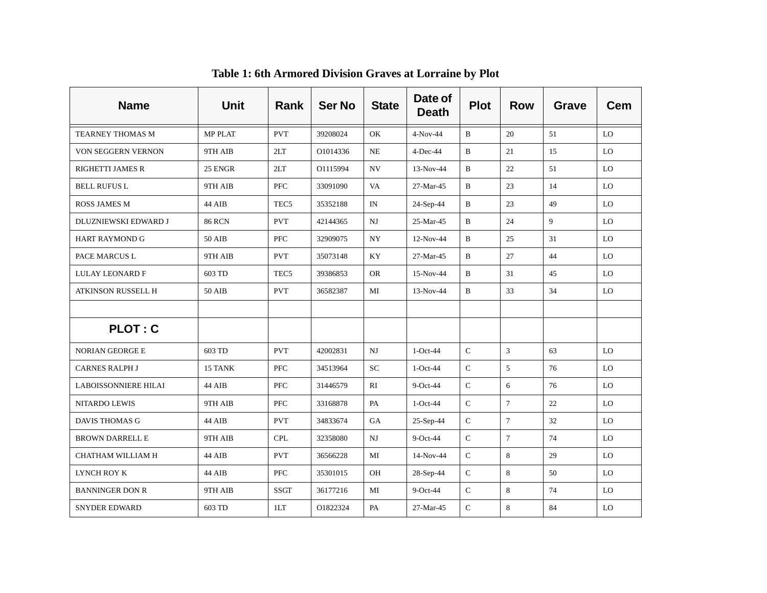| <b>Name</b>                 | <b>Unit</b>    | Rank             | <b>Ser No</b> | <b>State</b> | Date of<br><b>Death</b> | <b>Plot</b>   | <b>Row</b>     | <b>Grave</b> | Cem |
|-----------------------------|----------------|------------------|---------------|--------------|-------------------------|---------------|----------------|--------------|-----|
| TEARNEY THOMAS M            | <b>MP PLAT</b> | <b>PVT</b>       | 39208024      | OK           | $4-Nov-44$              | B             | 20             | 51           | LO  |
| VON SEGGERN VERNON          | 9TH AIB        | 2LT              | O1014336      | NE           | $4$ -Dec-44             | B             | 21             | 15           | LO  |
| <b>RIGHETTI JAMES R</b>     | 25 ENGR        | 2LT              | O1115994      | ${\rm NV}$   | 13-Nov-44               | B             | 22             | 51           | LO  |
| <b>BELL RUFUS L</b>         | 9TH AIB        | <b>PFC</b>       | 33091090      | VA           | 27-Mar-45               | $\, {\bf B}$  | 23             | 14           | LO  |
| <b>ROSS JAMES M</b>         | 44 AIB         | TEC <sub>5</sub> | 35352188      | IN           | $24-Sep-44$             | $\mathbf B$   | 23             | 49           | LO  |
| DLUZNIEWSKI EDWARD J        | <b>86 RCN</b>  | <b>PVT</b>       | 42144365      | NJ           | 25-Mar-45               | B             | 24             | 9            | LO  |
| <b>HART RAYMOND G</b>       | 50 AIB         | <b>PFC</b>       | 32909075      | NY.          | 12-Nov-44               | B             | 25             | 31           | LO  |
| PACE MARCUS L               | 9TH AIB        | <b>PVT</b>       | 35073148      | KY           | 27-Mar-45               | B             | 27             | 44           | LO  |
| <b>LULAY LEONARD F</b>      | 603 TD         | TEC <sub>5</sub> | 39386853      | <b>OR</b>    | 15-Nov-44               | $\, {\bf B}$  | 31             | 45           | LO  |
| <b>ATKINSON RUSSELL H</b>   | <b>50 AIB</b>  | <b>PVT</b>       | 36582387      | MI           | 13-Nov-44               | B             | 33             | 34           | LO  |
|                             |                |                  |               |              |                         |               |                |              |     |
| <b>PLOT: C</b>              |                |                  |               |              |                         |               |                |              |     |
| <b>NORIAN GEORGE E</b>      | 603 TD         | <b>PVT</b>       | 42002831      | $N$ J        | $1-Oct-44$              | $\mathsf C$   | $\mathbf{3}$   | 63           | LO  |
| <b>CARNES RALPH J</b>       | 15 TANK        | <b>PFC</b>       | 34513964      | ${\rm SC}$   | $1-Oct-44$              | ${\bf C}$     | 5              | 76           | LO  |
| <b>LABOISSONNIERE HILAI</b> | 44 AIB         | <b>PFC</b>       | 31446579      | RI           | 9-Oct-44                | ${\bf C}$     | 6              | 76           | LO  |
| <b>NITARDO LEWIS</b>        | 9TH AIB        | <b>PFC</b>       | 33168878      | PA           | $1-Oct-44$              | $\mathsf C$   | $\tau$         | 22           | LO  |
| <b>DAVIS THOMAS G</b>       | 44 AIB         | <b>PVT</b>       | 34833674      | GA           | $25-Sep-44$             | ${\bf C}$     | $\overline{7}$ | 32           | LO  |
| <b>BROWN DARRELL E</b>      | 9TH AIB        | <b>CPL</b>       | 32358080      | NJ           | $9$ -Oct-44             | $\mathcal{C}$ | $\overline{7}$ | 74           | LO  |
| CHATHAM WILLIAM H           | 44 AIB         | <b>PVT</b>       | 36566228      | MI           | 14-Nov-44               | $\mathsf C$   | 8              | 29           | LO  |
| LYNCH ROY K                 | 44 AIB         | <b>PFC</b>       | 35301015      | OH           | 28-Sep-44               | $\mathsf C$   | 8              | 50           | LO  |
| <b>BANNINGER DON R</b>      | 9TH AIB        | <b>SSGT</b>      | 36177216      | MI           | $9$ -Oct-44             | $\mathsf C$   | 8              | 74           | LO  |
| <b>SNYDER EDWARD</b>        | 603 TD         | 1LT              | O1822324      | PA           | 27-Mar-45               | $\mathsf{C}$  | 8              | 84           | LO  |

**Table 1: 6th Armored Division Graves at Lorraine by Plot**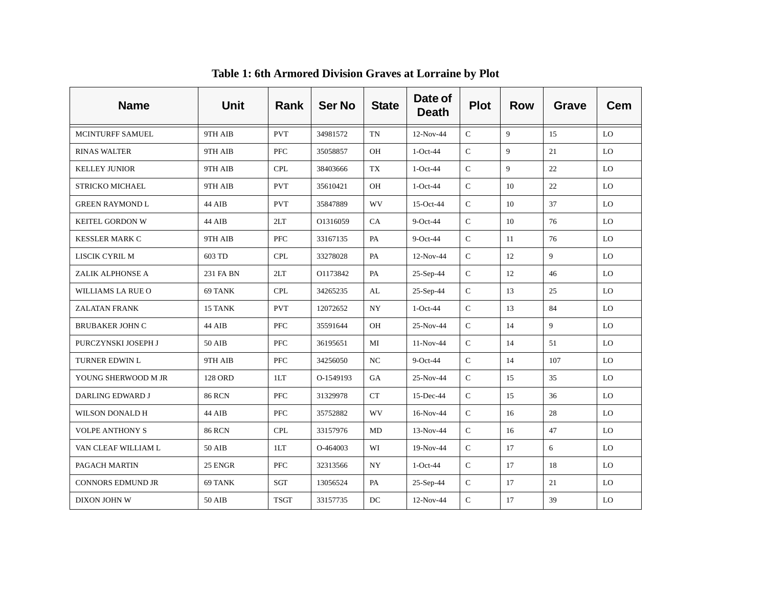| <b>Name</b>             | <b>Unit</b>    | Rank        | <b>Ser No</b> | <b>State</b> | Date of<br><b>Death</b> | <b>Plot</b>   | <b>Row</b> | Grave | <b>Cem</b> |
|-------------------------|----------------|-------------|---------------|--------------|-------------------------|---------------|------------|-------|------------|
| <b>MCINTURFF SAMUEL</b> | 9TH AIB        | <b>PVT</b>  | 34981572      | <b>TN</b>    | 12-Nov-44               | $\mathcal{C}$ | 9          | 15    | LO         |
| <b>RINAS WALTER</b>     | 9TH AIB        | PFC         | 35058857      | OH           | $1-Oct-44$              | $\mathbf C$   | 9          | 21    | LO         |
| <b>KELLEY JUNIOR</b>    | 9TH AIB        | <b>CPL</b>  | 38403666      | TX           | $1-Oct-44$              | $\mathbf C$   | 9          | 22    | LO         |
| STRICKO MICHAEL         | 9TH AIB        | <b>PVT</b>  | 35610421      | OH           | $1-Oct-44$              | $\mathsf{C}$  | 10         | 22    | LO         |
| <b>GREEN RAYMOND L</b>  | 44 AIB         | <b>PVT</b>  | 35847889      | <b>WV</b>    | 15-Oct-44               | $\mathsf{C}$  | 10         | 37    | LO         |
| KEITEL GORDON W         | 44 AIB         | 2LT         | O1316059      | CA           | $9$ -Oct-44             | $\mathsf{C}$  | 10         | 76    | LO         |
| <b>KESSLER MARK C</b>   | 9TH AIB        | <b>PFC</b>  | 33167135      | PA           | $9$ -Oct-44             | $\mathsf C$   | 11         | 76    | LO         |
| LISCIK CYRIL M          | 603 TD         | <b>CPL</b>  | 33278028      | PA           | 12-Nov-44               | $\mathsf C$   | 12         | 9     | LO         |
| ZALIK ALPHONSE A        | 231 FA BN      | 2LT         | O1173842      | PA           | 25-Sep-44               | ${\bf C}$     | 12         | 46    | LO         |
| WILLIAMS LA RUE O       | 69 TANK        | <b>CPL</b>  | 34265235      | AL           | $25-Sep-44$             | $\mathbf C$   | 13         | 25    | LO         |
| <b>ZALATAN FRANK</b>    | 15 TANK        | <b>PVT</b>  | 12072652      | <b>NY</b>    | $1-Oct-44$              | $\mathsf{C}$  | 13         | 84    | LO         |
| <b>BRUBAKER JOHN C</b>  | 44 AIB         | <b>PFC</b>  | 35591644      | OH           | 25-Nov-44               | $\mathsf{C}$  | 14         | 9     | LO         |
| PURCZYNSKI JOSEPH J     | 50 AIB         | <b>PFC</b>  | 36195651      | MI           | 11-Nov-44               | ${\bf C}$     | 14         | 51    | LO         |
| TURNER EDWIN L          | 9TH AIB        | <b>PFC</b>  | 34256050      | NC           | $9$ -Oct-44             | $\mathsf{C}$  | 14         | 107   | LO         |
| YOUNG SHERWOOD M JR     | <b>128 ORD</b> | 1LT         | O-1549193     | GA           | 25-Nov-44               | $\mathsf{C}$  | 15         | 35    | LO         |
| DARLING EDWARD J        | <b>86 RCN</b>  | <b>PFC</b>  | 31329978      | CT           | 15-Dec-44               | $\mathsf{C}$  | 15         | 36    | LO         |
| WILSON DONALD H         | 44 AIB         | ${\rm PFC}$ | 35752882      | WV           | 16-Nov-44               | ${\bf C}$     | 16         | 28    | LO         |
| <b>VOLPE ANTHONY S</b>  | <b>86 RCN</b>  | <b>CPL</b>  | 33157976      | MD           | 13-Nov-44               | $\mathsf C$   | 16         | 47    | LO         |
| VAN CLEAF WILLIAM L     | <b>50 AIB</b>  | 1LT         | O-464003      | WI           | 19-Nov-44               | ${\bf C}$     | 17         | 6     | LO         |
| PAGACH MARTIN           | 25 ENGR        | <b>PFC</b>  | 32313566      | <b>NY</b>    | $1-Oct-44$              | $\mathsf{C}$  | 17         | 18    | LO         |
| CONNORS EDMUND JR       | 69 TANK        | SGT         | 13056524      | PA           | 25-Sep-44               | ${\bf C}$     | 17         | 21    | LO         |
| DIXON JOHN W            | 50 AIB         | <b>TSGT</b> | 33157735      | DC           | 12-Nov-44               | $\mathbf C$   | 17         | 39    | LO         |

**Table 1: 6th Armored Division Graves at Lorraine by Plot**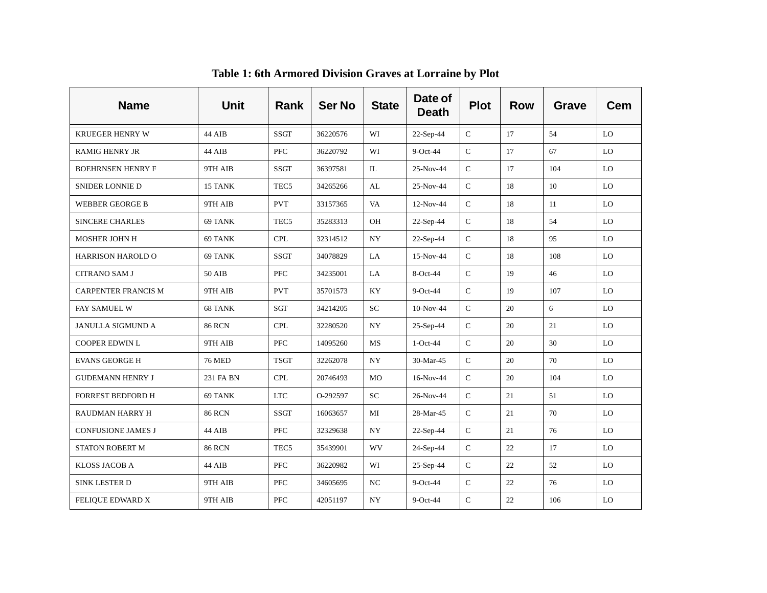| <b>Name</b>                | <b>Unit</b>   | Rank             | <b>Ser No</b> | <b>State</b> | Date of<br><b>Death</b> | <b>Plot</b>  | <b>Row</b> | Grave | <b>Cem</b> |
|----------------------------|---------------|------------------|---------------|--------------|-------------------------|--------------|------------|-------|------------|
| <b>KRUEGER HENRY W</b>     | 44 AIB        | <b>SSGT</b>      | 36220576      | WI           | $22-Sep-44$             | $\mathsf C$  | 17         | 54    | LO         |
| <b>RAMIG HENRY JR</b>      | 44 AIB        | <b>PFC</b>       | 36220792      | WI           | $9$ -Oct-44             | $\mathsf{C}$ | 17         | 67    | LO         |
| <b>BOEHRNSEN HENRY F</b>   | 9TH AIB       | <b>SSGT</b>      | 36397581      | $\mathbb{L}$ | 25-Nov-44               | $\mathsf{C}$ | 17         | 104   | LO         |
| SNIDER LONNIE D            | 15 TANK       | TEC <sub>5</sub> | 34265266      | AL           | 25-Nov-44               | $\mathsf{C}$ | 18         | 10    | LO         |
| <b>WEBBER GEORGE B</b>     | 9TH AIB       | <b>PVT</b>       | 33157365      | VA           | 12-Nov-44               | $\mathsf C$  | 18         | 11    | LO         |
| <b>SINCERE CHARLES</b>     | 69 TANK       | TEC <sub>5</sub> | 35283313      | OH           | 22-Sep-44               | $\mathsf C$  | 18         | 54    | LO         |
| <b>MOSHER JOHN H</b>       | 69 TANK       | <b>CPL</b>       | 32314512      | NY.          | 22-Sep-44               | $\mathsf C$  | 18         | 95    | LO         |
| HARRISON HAROLD O          | 69 TANK       | <b>SSGT</b>      | 34078829      | LA           | 15-Nov-44               | ${\bf C}$    | 18         | 108   | LO         |
| <b>CITRANO SAM J</b>       | 50 AIB        | PFC              | 34235001      | LA           | 8-Oct-44                | $\mathsf C$  | 19         | 46    | LO         |
| <b>CARPENTER FRANCIS M</b> | 9TH AIB       | <b>PVT</b>       | 35701573      | KY           | $9$ -Oct-44             | $\mathbf C$  | 19         | 107   | LO         |
| FAY SAMUEL W               | 68 TANK       | SGT              | 34214205      | SC           | 10-Nov-44               | $\mathsf C$  | 20         | 6     | LO         |
| <b>JANULLA SIGMUND A</b>   | <b>86 RCN</b> | <b>CPL</b>       | 32280520      | NY.          | $25-Sep-44$             | $\mathsf C$  | 20         | 21    | LO         |
| <b>COOPER EDWIN L</b>      | 9TH AIB       | <b>PFC</b>       | 14095260      | MS           | $1-Oct-44$              | ${\bf C}$    | 20         | 30    | LO         |
| <b>EVANS GEORGE H</b>      | <b>76 MED</b> | <b>TSGT</b>      | 32262078      | <b>NY</b>    | 30-Mar-45               | $\mathbf C$  | 20         | 70    | LO         |
| <b>GUDEMANN HENRY J</b>    | 231 FA BN     | <b>CPL</b>       | 20746493      | MO           | 16-Nov-44               | ${\bf C}$    | 20         | 104   | LO         |
| <b>FORREST BEDFORD H</b>   | 69 TANK       | <b>LTC</b>       | O-292597      | SC           | 26-Nov-44               | $\mathsf C$  | 21         | 51    | LO         |
| RAUDMAN HARRY H            | <b>86 RCN</b> | <b>SSGT</b>      | 16063657      | MI           | 28-Mar-45               | ${\bf C}$    | 21         | 70    | LO         |
| <b>CONFUSIONE JAMES J</b>  | 44 AIB        | <b>PFC</b>       | 32329638      | NY.          | 22-Sep-44               | $\mathsf C$  | 21         | 76    | LO         |
| STATON ROBERT M            | <b>86 RCN</b> | TEC <sub>5</sub> | 35439901      | WV           | 24-Sep-44               | $\mathsf C$  | 22         | 17    | LO         |
| KLOSS JACOB A              | 44 AIB        | <b>PFC</b>       | 36220982      | WI           | 25-Sep-44               | $\mathbf C$  | 22         | 52    | LO         |
| SINK LESTER D              | 9TH AIB       | PFC              | 34605695      | NC           | 9-Oct-44                | ${\bf C}$    | 22         | 76    | LO         |
| FELIQUE EDWARD X           | 9TH AIB       | <b>PFC</b>       | 42051197      | <b>NY</b>    | $9$ -Oct-44             | $\mathsf{C}$ | 22         | 106   | LO         |

**Table 1: 6th Armored Division Graves at Lorraine by Plot**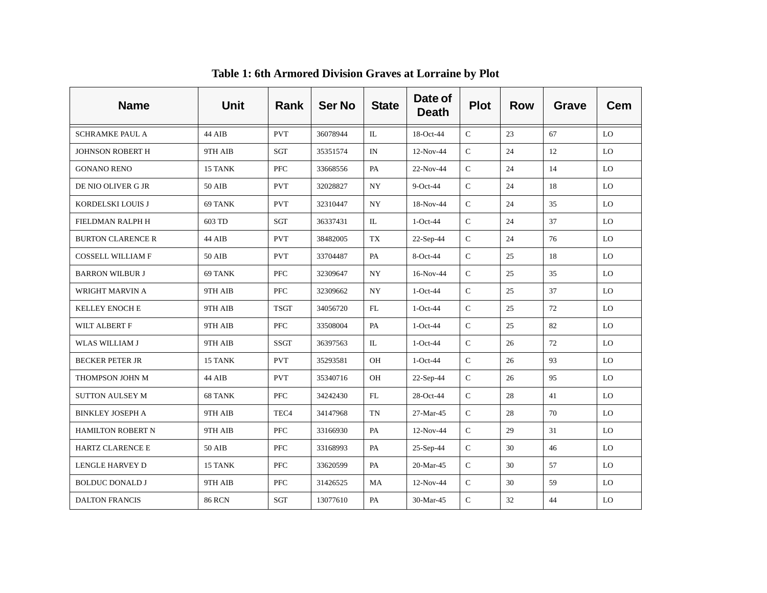| <b>Name</b>              | <b>Unit</b>   | Rank             | <b>Ser No</b> | <b>State</b> | Date of<br><b>Death</b> | <b>Plot</b>   | <b>Row</b> | Grave | <b>Cem</b> |
|--------------------------|---------------|------------------|---------------|--------------|-------------------------|---------------|------------|-------|------------|
| <b>SCHRAMKE PAUL A</b>   | 44 AIB        | <b>PVT</b>       | 36078944      | IL           | 18-Oct-44               | $\mathcal{C}$ | 23         | 67    | LO         |
| <b>JOHNSON ROBERT H</b>  | 9TH AIB       | SGT              | 35351574      | IN           | 12-Nov-44               | $\mathsf C$   | 24         | 12    | LO         |
| <b>GONANO RENO</b>       | 15 TANK       | <b>PFC</b>       | 33668556      | PA           | 22-Nov-44               | $\mathsf{C}$  | 24         | 14    | LO         |
| DE NIO OLIVER G JR       | 50 AIB        | <b>PVT</b>       | 32028827      | <b>NY</b>    | $9$ -Oct-44             | $\mathsf{C}$  | 24         | 18    | LO         |
| KORDELSKI LOUIS J        | 69 TANK       | <b>PVT</b>       | 32310447      | <b>NY</b>    | 18-Nov-44               | $\mathsf C$   | 24         | 35    | LO         |
| FIELDMAN RALPH H         | 603 TD        | SGT              | 36337431      | IL           | $1-Oct-44$              | $\mathsf{C}$  | 24         | 37    | LO         |
| <b>BURTON CLARENCE R</b> | 44 AIB        | <b>PVT</b>       | 38482005      | TX           | 22-Sep-44               | ${\bf C}$     | 24         | 76    | LO         |
| <b>COSSELL WILLIAM F</b> | 50 AIB        | <b>PVT</b>       | 33704487      | PA           | 8-Oct-44                | $\mathsf{C}$  | 25         | 18    | LO         |
| <b>BARRON WILBUR J</b>   | 69 TANK       | <b>PFC</b>       | 32309647      | NY.          | 16-Nov-44               | $\mathbf C$   | 25         | 35    | LO         |
| WRIGHT MARVIN A          | 9TH AIB       | <b>PFC</b>       | 32309662      | <b>NY</b>    | $1-Oct-44$              | $\mathsf{C}$  | 25         | 37    | LO         |
| <b>KELLEY ENOCH E</b>    | 9TH AIB       | <b>TSGT</b>      | 34056720      | FL           | $1-Oct-44$              | $\mathsf{C}$  | 25         | 72    | LO         |
| WILT ALBERT F            | 9TH AIB       | <b>PFC</b>       | 33508004      | PA           | $1-Oct-44$              | ${\bf C}$     | 25         | 82    | LO         |
| WLAS WILLIAM J           | 9TH AIB       | <b>SSGT</b>      | 36397563      | IL           | $1-Oct-44$              | $\mathsf{C}$  | 26         | 72    | LO         |
| <b>BECKER PETER JR</b>   | 15 TANK       | <b>PVT</b>       | 35293581      | OH           | $1-Oct-44$              | $\mathsf{C}$  | 26         | 93    | LO         |
| THOMPSON JOHN M          | 44 AIB        | <b>PVT</b>       | 35340716      | OH           | 22-Sep-44               | $\mathsf{C}$  | 26         | 95    | LO         |
| <b>SUTTON AULSEY M</b>   | 68 TANK       | <b>PFC</b>       | 34242430      | FL           | 28-Oct-44               | $\mathsf C$   | 28         | 41    | LO         |
| <b>BINKLEY JOSEPH A</b>  | 9TH AIB       | TEC <sub>4</sub> | 34147968      | <b>TN</b>    | 27-Mar-45               | ${\bf C}$     | 28         | 70    | LO         |
| <b>HAMILTON ROBERT N</b> | 9TH AIB       | <b>PFC</b>       | 33166930      | PA           | $12-Nov-44$             | $\mathsf C$   | 29         | 31    | LO         |
| HARTZ CLARENCE E         | <b>50 AIB</b> | <b>PFC</b>       | 33168993      | PA           | 25-Sep-44               | $\mathsf{C}$  | 30         | 46    | LO         |
| <b>LENGLE HARVEY D</b>   | 15 TANK       | <b>PFC</b>       | 33620599      | PA           | 20-Mar-45               | $\mathsf{C}$  | 30         | 57    | LO         |
| <b>BOLDUC DONALD J</b>   | 9TH AIB       | PFC              | 31426525      | MA           | 12-Nov-44               | ${\bf C}$     | 30         | 59    | LO         |
| <b>DALTON FRANCIS</b>    | <b>86 RCN</b> | SGT              | 13077610      | PA           | 30-Mar-45               | $\mathsf{C}$  | 32         | 44    | LO         |

**Table 1: 6th Armored Division Graves at Lorraine by Plot**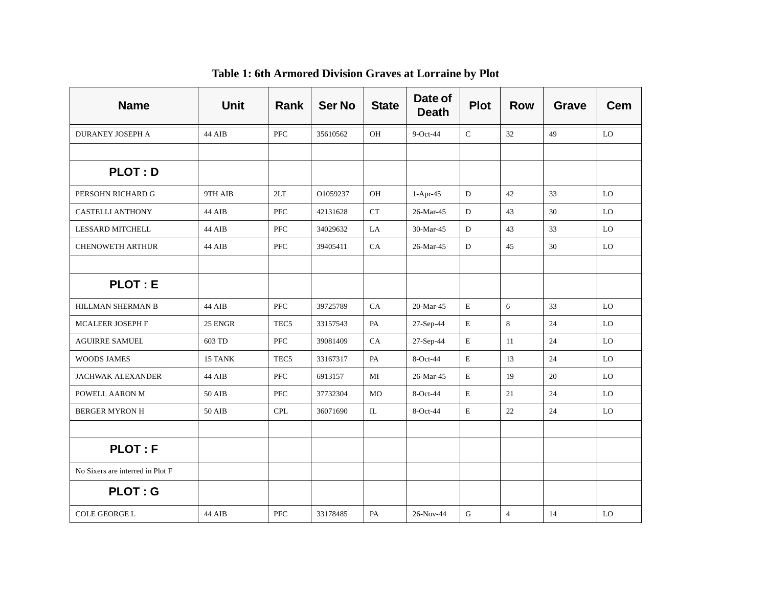| <b>Name</b>                      | <b>Unit</b>   | Rank             | <b>Ser No</b> | <b>State</b> | Date of<br><b>Death</b> | <b>Plot</b> | <b>Row</b>     | <b>Grave</b> | Cem |
|----------------------------------|---------------|------------------|---------------|--------------|-------------------------|-------------|----------------|--------------|-----|
| <b>DURANEY JOSEPH A</b>          | 44 AIB        | PFC              | 35610562      | OH           | 9-Oct-44                | $\mathbf C$ | 32             | 49           | LO  |
|                                  |               |                  |               |              |                         |             |                |              |     |
| <b>PLOT: D</b>                   |               |                  |               |              |                         |             |                |              |     |
| PERSOHN RICHARD G                | 9TH AIB       | 2LT              | O1059237      | <b>OH</b>    | $1-Apr-45$              | D           | 42             | 33           | LO  |
| <b>CASTELLI ANTHONY</b>          | 44 AIB        | <b>PFC</b>       | 42131628      | <b>CT</b>    | 26-Mar-45               | D           | 43             | 30           | LO  |
| <b>LESSARD MITCHELL</b>          | 44 AIB        | <b>PFC</b>       | 34029632      | LA           | 30-Mar-45               | D           | 43             | 33           | LO  |
| <b>CHENOWETH ARTHUR</b>          | 44 AIB        | PFC              | 39405411      | CA           | 26-Mar-45               | D           | 45             | 30           | LO  |
|                                  |               |                  |               |              |                         |             |                |              |     |
| <b>PLOT: E</b>                   |               |                  |               |              |                         |             |                |              |     |
| <b>HILLMAN SHERMAN B</b>         | 44 AIB        | <b>PFC</b>       | 39725789      | CA           | 20-Mar-45               | E           | 6              | 33           | LO  |
| <b>MCALEER JOSEPH F</b>          | 25 ENGR       | TEC <sub>5</sub> | 33157543      | PA           | 27-Sep-44               | $\mathbf E$ | 8              | 24           | LO  |
| <b>AGUIRRE SAMUEL</b>            | 603 TD        | <b>PFC</b>       | 39081409      | CA           | 27-Sep-44               | E           | 11             | 24           | LO  |
| <b>WOODS JAMES</b>               | 15 TANK       | TEC <sub>5</sub> | 33167317      | PA           | 8-Oct-44                | $\mathbf E$ | 13             | 24           | LO  |
| <b>JACHWAK ALEXANDER</b>         | 44 AIB        | <b>PFC</b>       | 6913157       | MI           | 26-Mar-45               | E           | 19             | 20           | LO  |
| POWELL AARON M                   | 50 AIB        | PFC              | 37732304      | MO           | 8-Oct-44                | E           | 21             | 24           | LO  |
| <b>BERGER MYRON H</b>            | 50 AIB        | <b>CPL</b>       | 36071690      | IL           | 8-Oct-44                | E           | 22             | 24           | LO  |
|                                  |               |                  |               |              |                         |             |                |              |     |
| <b>PLOT: F</b>                   |               |                  |               |              |                         |             |                |              |     |
| No Sixers are interred in Plot F |               |                  |               |              |                         |             |                |              |     |
| <b>PLOT: G</b>                   |               |                  |               |              |                         |             |                |              |     |
| COLE GEORGE L                    | <b>44 AIB</b> | <b>PFC</b>       | 33178485      | PA           | 26-Nov-44               | G           | $\overline{4}$ | 14           | LO  |

**Table 1: 6th Armored Division Graves at Lorraine by Plot**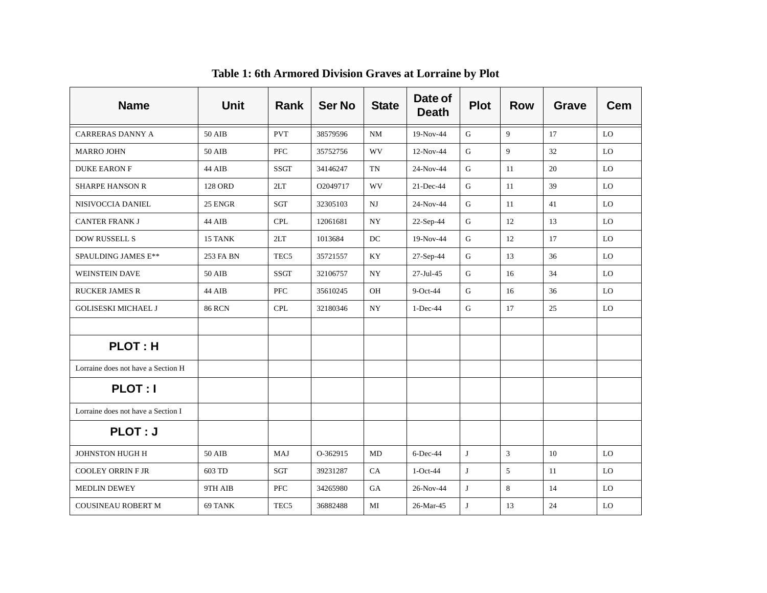| <b>Name</b>                        | <b>Unit</b>   | Rank             | <b>Ser No</b> | <b>State</b>             | Date of<br><b>Death</b> | <b>Plot</b> | <b>Row</b>     | Grave | <b>Cem</b> |
|------------------------------------|---------------|------------------|---------------|--------------------------|-------------------------|-------------|----------------|-------|------------|
| <b>CARRERAS DANNY A</b>            | 50 AIB        | <b>PVT</b>       | 38579596      | NM                       | 19-Nov-44               | G           | 9              | 17    | LO         |
| <b>MARRO JOHN</b>                  | 50 AIB        | PFC              | 35752756      | WV                       | $12-Nov-44$             | G           | 9              | 32    | LO         |
| <b>DUKE EARON F</b>                | 44 AIB        | <b>SSGT</b>      | 34146247      | TN                       | 24-Nov-44               | $\mathsf G$ | 11             | 20    | LO         |
| <b>SHARPE HANSON R</b>             | 128 ORD       | 2LT              | O2049717      | WV                       | $21$ -Dec-44            | G           | 11             | 39    | LO         |
| NISIVOCCIA DANIEL                  | 25 ENGR       | SGT              | 32305103      | $N$ J                    | 24-Nov-44               | G           | 11             | 41    | LO         |
| <b>CANTER FRANK J</b>              | 44 AIB        | <b>CPL</b>       | 12061681      | <b>NY</b>                | $22-Sep-44$             | $\mathbf G$ | 12             | 13    | LO         |
| DOW RUSSELL S                      | 15 TANK       | 2LT              | 1013684       | DC                       | 19-Nov-44               | ${\bf G}$   | 12             | 17    | LO         |
| SPAULDING JAMES E**                | 253 FA BN     | TEC <sub>5</sub> | 35721557      | KY                       | 27-Sep-44               | ${\bf G}$   | 13             | 36    | LO         |
| <b>WEINSTEIN DAVE</b>              | 50 AIB        | <b>SSGT</b>      | 32106757      | $\ensuremath{\text{NY}}$ | 27-Jul-45               | $\mathsf G$ | 16             | 34    | LO         |
| <b>RUCKER JAMES R</b>              | 44 AIB        | <b>PFC</b>       | 35610245      | OH                       | $9$ -Oct-44             | $\mathbf G$ | 16             | 36    | LO         |
| <b>GOLISESKI MICHAEL J</b>         | <b>86 RCN</b> | <b>CPL</b>       | 32180346      | NY                       | $1-Dec-44$              | ${\bf G}$   | 17             | 25    | $\rm LO$   |
|                                    |               |                  |               |                          |                         |             |                |       |            |
| <b>PLOT: H</b>                     |               |                  |               |                          |                         |             |                |       |            |
| Lorraine does not have a Section H |               |                  |               |                          |                         |             |                |       |            |
| <b>PLOT: I</b>                     |               |                  |               |                          |                         |             |                |       |            |
| Lorraine does not have a Section I |               |                  |               |                          |                         |             |                |       |            |
| PLOT: J                            |               |                  |               |                          |                         |             |                |       |            |
| JOHNSTON HUGH H                    | 50 AIB        | MAJ              | O-362915      | MD                       | $6$ -Dec-44             | J           | $\overline{3}$ | 10    | LO         |
| <b>COOLEY ORRIN FJR</b>            | 603 TD        | SGT              | 39231287      | CA                       | $1-Oct-44$              | J           | 5              | 11    | LO         |
| MEDLIN DEWEY                       | 9TH AIB       | PFC              | 34265980      | GA                       | 26-Nov-44               | J           | 8              | 14    | LO         |
| <b>COUSINEAU ROBERT M</b>          | 69 TANK       | TEC <sub>5</sub> | 36882488      | MI                       | 26-Mar-45               | J           | 13             | 24    | LO         |

**Table 1: 6th Armored Division Graves at Lorraine by Plot**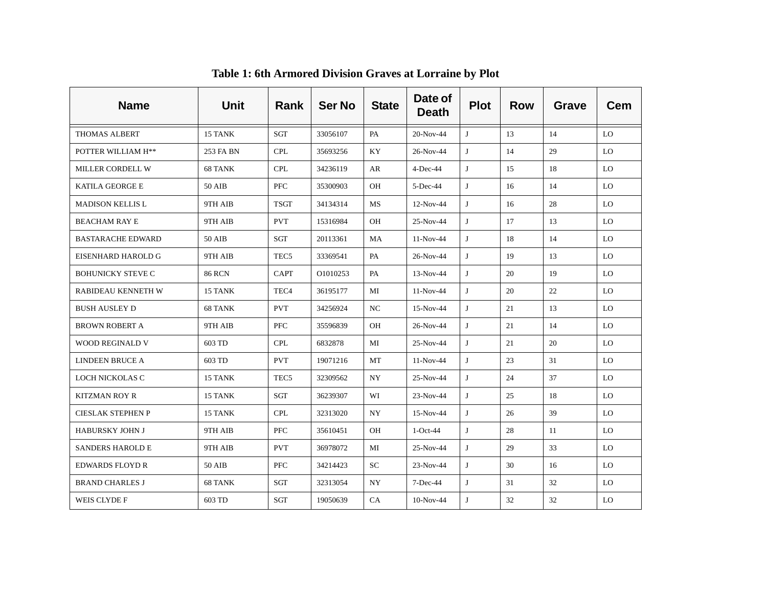| <b>Name</b>              | <b>Unit</b>   | Rank                 | <b>Ser No</b> | <b>State</b> | Date of<br><b>Death</b> | <b>Plot</b> | <b>Row</b> | Grave | Cem |
|--------------------------|---------------|----------------------|---------------|--------------|-------------------------|-------------|------------|-------|-----|
| <b>THOMAS ALBERT</b>     | 15 TANK       | $\operatorname{SGT}$ | 33056107      | PA           | 20-Nov-44               | J           | 13         | 14    | LO. |
| POTTER WILLIAM H**       | 253 FA BN     | <b>CPL</b>           | 35693256      | KY.          | 26-Nov-44               | J           | 14         | 29    | LO  |
| MILLER CORDELL W         | 68 TANK       | <b>CPL</b>           | 34236119      | AR           | $4$ -Dec-44             | J           | 15         | 18    | LO  |
| <b>KATILA GEORGE E</b>   | 50 AIB        | PFC                  | 35300903      | <b>OH</b>    | 5-Dec-44                | J           | 16         | 14    | LO  |
| <b>MADISON KELLIS L</b>  | 9TH AIB       | <b>TSGT</b>          | 34134314      | MS           | $12-Nov-44$             | J           | 16         | 28    | LO  |
| <b>BEACHAM RAY E</b>     | 9TH AIB       | <b>PVT</b>           | 15316984      | OH           | 25-Nov-44               | J           | 17         | 13    | LO  |
| <b>BASTARACHE EDWARD</b> | 50 AIB        | SGT                  | 20113361      | MA           | $11-Nov-44$             | J           | 18         | 14    | LO  |
| EISENHARD HAROLD G       | 9TH AIB       | TEC <sub>5</sub>     | 33369541      | PA           | 26-Nov-44               | J           | 19         | 13    | LO  |
| <b>BOHUNICKY STEVE C</b> | <b>86 RCN</b> | <b>CAPT</b>          | O1010253      | PA           | 13-Nov-44               | J           | 20         | 19    | LO  |
| RABIDEAU KENNETH W       | 15 TANK       | TEC <sub>4</sub>     | 36195177      | MI           | $11-Nov-44$             | $\bf{J}$    | 20         | 22    | LO  |
| <b>BUSH AUSLEY D</b>     | 68 TANK       | <b>PVT</b>           | 34256924      | NC           | 15-Nov-44               | J           | 21         | 13    | LO  |
| <b>BROWN ROBERT A</b>    | 9TH AIB       | <b>PFC</b>           | 35596839      | <b>OH</b>    | 26-Nov-44               | J           | 21         | 14    | LO. |
| WOOD REGINALD V          | 603 TD        | <b>CPL</b>           | 6832878       | MI           | 25-Nov-44               | J           | 21         | 20    | LO  |
| <b>LINDEEN BRUCE A</b>   | 603 TD        | <b>PVT</b>           | 19071216      | MT           | $11-Nov-44$             | J           | 23         | 31    | LO  |
| LOCH NICKOLAS C          | 15 TANK       | TEC <sub>5</sub>     | 32309562      | NY           | 25-Nov-44               | J           | 24         | 37    | LO  |
| <b>KITZMAN ROY R</b>     | 15 TANK       | SGT                  | 36239307      | WI           | 23-Nov-44               | J           | 25         | 18    | LO  |
| <b>CIESLAK STEPHEN P</b> | 15 TANK       | <b>CPL</b>           | 32313020      | NY           | 15-Nov-44               | J           | 26         | 39    | LO  |
| <b>HABURSKY JOHN J</b>   | 9TH AIB       | <b>PFC</b>           | 35610451      | OH           | $1-Oct-44$              | J           | 28         | 11    | LO  |
| <b>SANDERS HAROLD E</b>  | 9TH AIB       | <b>PVT</b>           | 36978072      | MI           | 25-Nov-44               | J           | 29         | 33    | LO  |
| EDWARDS FLOYD R          | 50 AIB        | <b>PFC</b>           | 34214423      | SC           | 23-Nov-44               | J           | 30         | 16    | LO. |
| <b>BRAND CHARLES J</b>   | 68 TANK       | SGT                  | 32313054      | NY           | 7-Dec-44                | J           | 31         | 32    | LO  |
| WEIS CLYDE F             | 603 TD        | SGT                  | 19050639      | CA.          | $10-Nov-44$             | J           | 32         | 32    | LO  |

**Table 1: 6th Armored Division Graves at Lorraine by Plot**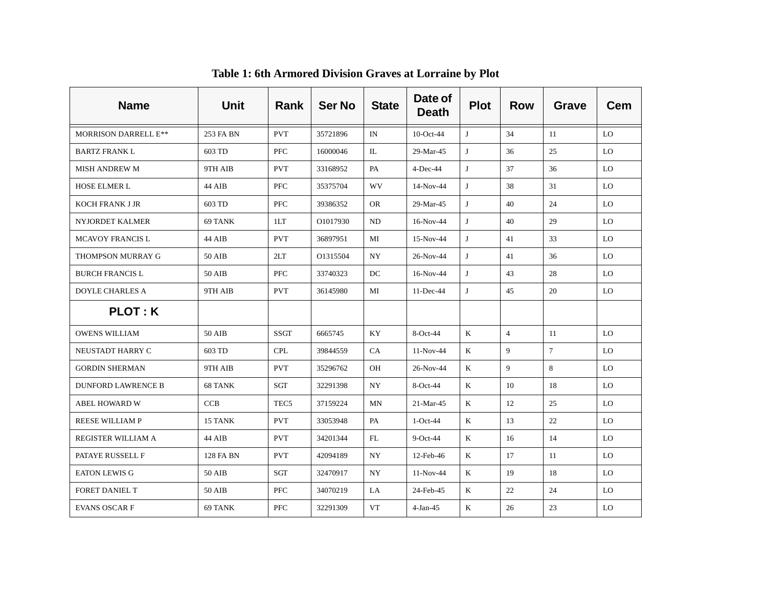| <b>Name</b>                 | <b>Unit</b> | Rank             | <b>Ser No</b> | <b>State</b> | Date of<br><b>Death</b> | <b>Plot</b> | <b>Row</b>     | Grave  | <b>Cem</b> |
|-----------------------------|-------------|------------------|---------------|--------------|-------------------------|-------------|----------------|--------|------------|
| <b>MORRISON DARRELL E**</b> | 253 FA BN   | <b>PVT</b>       | 35721896      | IN           | $10$ -Oct-44            | J           | 34             | 11     | LO         |
| <b>BARTZ FRANK L</b>        | 603 TD      | <b>PFC</b>       | 16000046      | IL           | 29-Mar-45               | J           | 36             | 25     | LO.        |
| <b>MISH ANDREW M</b>        | 9TH AIB     | <b>PVT</b>       | 33168952      | PA           | $4$ -Dec-44             | J           | 37             | 36     | LO         |
| <b>HOSE ELMER L</b>         | 44 AIB      | <b>PFC</b>       | 35375704      | WV           | $14-Nov-44$             | J           | 38             | 31     | LO.        |
| <b>KOCH FRANK J JR</b>      | 603 TD      | <b>PFC</b>       | 39386352      | OR.          | 29-Mar-45               | J           | 40             | 24     | LO.        |
| NYJORDET KALMER             | 69 TANK     | 1LT              | O1017930      | ND           | 16-Nov-44               | J           | 40             | 29     | LO.        |
| <b>MCAVOY FRANCIS L</b>     | 44 AIB      | <b>PVT</b>       | 36897951      | MI           | $15-Nov-44$             | J           | 41             | 33     | LO.        |
| THOMPSON MURRAY G           | 50 AIB      | 2LT              | O1315504      | NY           | 26-Nov-44               | J           | 41             | 36     | LO         |
| <b>BURCH FRANCIS L</b>      | 50 AIB      | <b>PFC</b>       | 33740323      | DC           | $16-Nov-44$             | J           | 43             | 28     | LO         |
| <b>DOYLE CHARLES A</b>      | 9TH AIB     | <b>PVT</b>       | 36145980      | MI           | 11-Dec-44               | J           | 45             | 20     | LO         |
| <b>PLOT: K</b>              |             |                  |               |              |                         |             |                |        |            |
| <b>OWENS WILLIAM</b>        | 50 AIB      | <b>SSGT</b>      | 6665745       | KY           | $8-Oct-44$              | K           | $\overline{4}$ | 11     | LO         |
| NEUSTADT HARRY C            | 603 TD      | <b>CPL</b>       | 39844559      | <b>CA</b>    | $11-Nov-44$             | K           | 9              | $\tau$ | LO         |
| <b>GORDIN SHERMAN</b>       | 9TH AIB     | <b>PVT</b>       | 35296762      | OH           | 26-Nov-44               | K           | 9              | 8      | LO         |
| <b>DUNFORD LAWRENCE B</b>   | 68 TANK     | SGT              | 32291398      | NY.          | $8-Oct-44$              | K           | 10             | 18     | LO.        |
| <b>ABEL HOWARD W</b>        | <b>CCB</b>  | TEC <sub>5</sub> | 37159224      | MN           | $21-Mar-45$             | K           | 12             | 25     | LO.        |
| <b>REESE WILLIAM P</b>      | 15 TANK     | <b>PVT</b>       | 33053948      | PA           | $1-Oct-44$              | K           | 13             | 22     | LO.        |
| REGISTER WILLIAM A          | 44 AIB      | <b>PVT</b>       | 34201344      | FL           | $9$ -Oct-44             | K           | 16             | 14     | LO.        |
| PATAYE RUSSELL F            | 128 FA BN   | <b>PVT</b>       | 42094189      | NY.          | 12-Feb-46               | K           | 17             | 11     | LO         |
| <b>EATON LEWIS G</b>        | 50 AIB      | SGT              | 32470917      | NY           | $11-Nov-44$             | K           | 19             | 18     | LO         |
| FORET DANIEL T              | 50 AIB      | <b>PFC</b>       | 34070219      | LA.          | 24-Feb-45               | K           | 22             | 24     | LO.        |
| <b>EVANS OSCARF</b>         | 69 TANK     | <b>PFC</b>       | 32291309      | VT           | $4-Jan-45$              | K           | 26             | 23     | LO         |

**Table 1: 6th Armored Division Graves at Lorraine by Plot**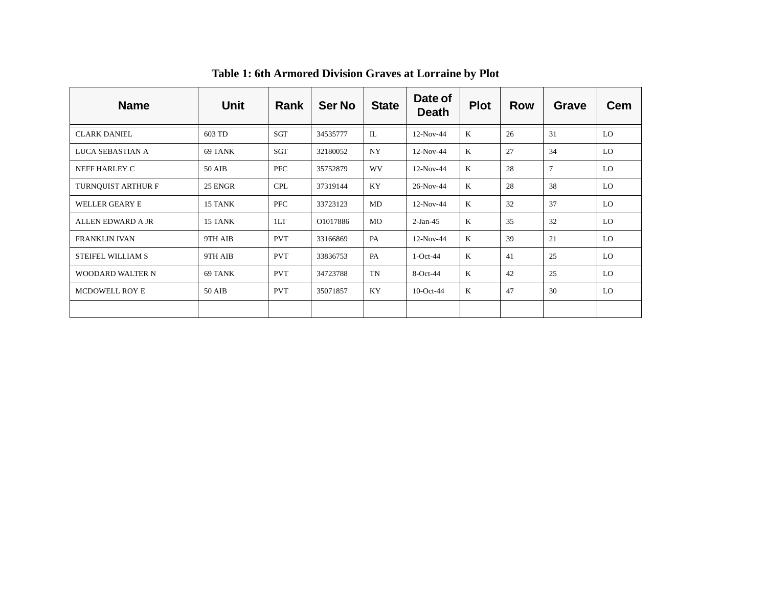| <b>Name</b>             | Unit          | Rank       | <b>Ser No</b> | <b>State</b> | Date of<br><b>Death</b> | <b>Plot</b>  | <b>Row</b> | <b>Grave</b> | <b>Cem</b> |
|-------------------------|---------------|------------|---------------|--------------|-------------------------|--------------|------------|--------------|------------|
| <b>CLARK DANIEL</b>     | 603 TD        | SGT        | 34535777      | $\Pi$ .      | 12-Nov-44               | $\bf K$      | 26         | 31           | LO.        |
| LUCA SEBASTIAN A        | 69 TANK       | <b>SGT</b> | 32180052      | NY.          | 12-Nov-44               | $\mathbf{K}$ | 27         | 34           | LO         |
| NEFF HARLEY C           | 50 AIB        | PFC        | 35752879      | <b>WV</b>    | $12-Nov-44$             | $\mathbf{K}$ | 28         | $\tau$       | LO.        |
| TURNQUIST ARTHUR F      | 25 ENGR       | <b>CPL</b> | 37319144      | KY           | 26-Nov-44               | $\mathbf{K}$ | 28         | 38           | LO         |
| WELLER GEARY E          | 15 TANK       | PFC        | 33723123      | MD           | $12-Nov-44$             | K            | 32         | 37           | LO.        |
| ALLEN EDWARD A JR       | 15 TANK       | 1LT        | O1017886      | MO           | $2-Jan-45$              | $\mathbf{K}$ | 35         | 32           | LO         |
| <b>FRANKLIN IVAN</b>    | 9TH AIB       | <b>PVT</b> | 33166869      | PA           | $12-Nov-44$             | K            | 39         | 21           | LO         |
| STEIFEL WILLIAM S       | 9TH AIB       | <b>PVT</b> | 33836753      | PA           | $1-Oct-44$              | $\mathbf{K}$ | 41         | 25           | LO.        |
| <b>WOODARD WALTER N</b> | 69 TANK       | <b>PVT</b> | 34723788      | TN           | $8-Oct-44$              | $\mathbf{K}$ | 42         | 25           | LO.        |
| <b>MCDOWELL ROY E</b>   | <b>50 AIB</b> | <b>PVT</b> | 35071857      | KY           | $10$ -Oct-44            | K            | 47         | 30           | LO         |
|                         |               |            |               |              |                         |              |            |              |            |

**Table 1: 6th Armored Division Graves at Lorraine by Plot**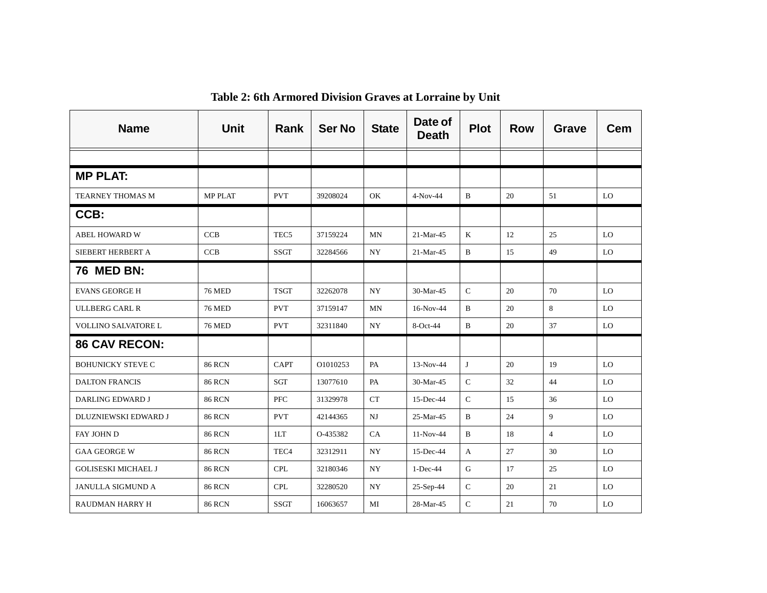| <b>Name</b>                | <b>Unit</b>    | Rank             | <b>Ser No</b> | <b>State</b> | Date of<br><b>Death</b> | <b>Plot</b>  | <b>Row</b> | Grave          | <b>Cem</b>     |
|----------------------------|----------------|------------------|---------------|--------------|-------------------------|--------------|------------|----------------|----------------|
|                            |                |                  |               |              |                         |              |            |                |                |
| <b>MP PLAT:</b>            |                |                  |               |              |                         |              |            |                |                |
| <b>TEARNEY THOMAS M</b>    | <b>MP PLAT</b> | <b>PVT</b>       | 39208024      | OK           | $4-Nov-44$              | $\mathbf B$  | 20         | 51             | LO             |
| CCB:                       |                |                  |               |              |                         |              |            |                |                |
| <b>ABEL HOWARD W</b>       | <b>CCB</b>     | TEC <sub>5</sub> | 37159224      | MN           | 21-Mar-45               | $\mathbf{K}$ | 12         | 25             | LO             |
| SIEBERT HERBERT A          | <b>CCB</b>     | <b>SSGT</b>      | 32284566      | <b>NY</b>    | 21-Mar-45               | $\mathbf B$  | 15         | 49             | LO             |
| <b>76 MED BN:</b>          |                |                  |               |              |                         |              |            |                |                |
| <b>EVANS GEORGE H</b>      | <b>76 MED</b>  | <b>TSGT</b>      | 32262078      | <b>NY</b>    | 30-Mar-45               | $\mathsf{C}$ | 20         | 70             | LO             |
| <b>ULLBERG CARL R</b>      | <b>76 MED</b>  | <b>PVT</b>       | 37159147      | MN           | 16-Nov-44               | $\mathbf{B}$ | 20         | 8              | LO             |
| VOLLINO SALVATORE L        | <b>76 MED</b>  | <b>PVT</b>       | 32311840      | <b>NY</b>    | 8-Oct-44                | $\mathbf B$  | 20         | 37             | L <sub>O</sub> |
| <b>86 CAV RECON:</b>       |                |                  |               |              |                         |              |            |                |                |
| <b>BOHUNICKY STEVE C</b>   | <b>86 RCN</b>  | <b>CAPT</b>      | O1010253      | PA           | $13-Nov-44$             | J            | 20         | 19             | LO             |
| <b>DALTON FRANCIS</b>      | <b>86 RCN</b>  | SGT              | 13077610      | PA           | 30-Mar-45               | $\mathsf{C}$ | 32         | 44             | LO             |
| DARLING EDWARD J           | <b>86 RCN</b>  | <b>PFC</b>       | 31329978      | CT           | 15-Dec-44               | $\mathbf C$  | 15         | 36             | LO             |
| DLUZNIEWSKI EDWARD J       | <b>86 RCN</b>  | <b>PVT</b>       | 42144365      | NJ           | 25-Mar-45               | $\mathbf B$  | 24         | 9              | LO             |
| FAY JOHN D                 | <b>86 RCN</b>  | 1LT              | O-435382      | CA           | 11-Nov-44               | $\, {\bf B}$ | 18         | $\overline{4}$ | LO             |
| <b>GAA GEORGE W</b>        | <b>86 RCN</b>  | TEC <sub>4</sub> | 32312911      | <b>NY</b>    | 15-Dec-44               | A            | 27         | 30             | LO             |
| <b>GOLISESKI MICHAEL J</b> | <b>86 RCN</b>  | <b>CPL</b>       | 32180346      | <b>NY</b>    | $1-Dec-44$              | G            | 17         | 25             | LO             |
| <b>JANULLA SIGMUND A</b>   | <b>86 RCN</b>  | <b>CPL</b>       | 32280520      | <b>NY</b>    | $25-Sep-44$             | $\mathbf C$  | 20         | 21             | LO             |
| <b>RAUDMAN HARRY H</b>     | <b>86 RCN</b>  | <b>SSGT</b>      | 16063657      | MI           | 28-Mar-45               | $\mathsf{C}$ | 21         | 70             | LO             |

**Table 2: 6th Armored Division Graves at Lorraine by Unit**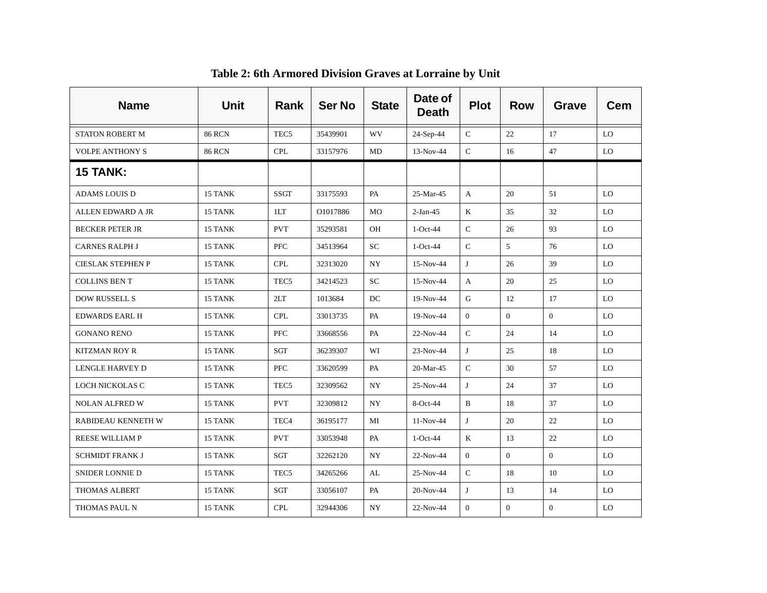| <b>Name</b>            | <b>Unit</b>   | <b>Rank</b>      | <b>Ser No</b> | <b>State</b> | Date of<br><b>Death</b> | <b>Plot</b>      | <b>Row</b>   | <b>Grave</b>   | <b>Cem</b> |
|------------------------|---------------|------------------|---------------|--------------|-------------------------|------------------|--------------|----------------|------------|
| <b>STATON ROBERT M</b> | <b>86 RCN</b> | TEC <sub>5</sub> | 35439901      | WV           | 24-Sep-44               | $\mathsf{C}$     | 22           | 17             | LO         |
| <b>VOLPE ANTHONY S</b> | <b>86 RCN</b> | <b>CPL</b>       | 33157976      | MD           | 13-Nov-44               | ${\bf C}$        | 16           | 47             | <b>LO</b>  |
| <b>15 TANK:</b>        |               |                  |               |              |                         |                  |              |                |            |
| <b>ADAMS LOUIS D</b>   | 15 TANK       | <b>SSGT</b>      | 33175593      | PA           | $25-Mar-45$             | A                | 20           | 51             | LO         |
| ALLEN EDWARD A JR      | 15 TANK       | 1LT              | O1017886      | <b>MO</b>    | $2-Jan-45$              | $\bf K$          | 35           | 32             | LO         |
| <b>BECKER PETER JR</b> | 15 TANK       | <b>PVT</b>       | 35293581      | OH           | $1-Oct-44$              | $\mathbf C$      | 26           | 93             | LO         |
| <b>CARNES RALPH J</b>  | 15 TANK       | <b>PFC</b>       | 34513964      | <b>SC</b>    | $1-Oct-44$              | $\mathsf{C}$     | 5            | 76             | LO         |
| CIESLAK STEPHEN P      | 15 TANK       | <b>CPL</b>       | 32313020      | NY           | 15-Nov-44               | J                | $26\,$       | 39             | LO         |
| <b>COLLINS BEN T</b>   | 15 TANK       | TEC <sub>5</sub> | 34214523      | SC           | 15-Nov-44               | $\mathbf{A}$     | 20           | 25             | LO         |
| <b>DOW RUSSELL S</b>   | 15 TANK       | 2LT              | 1013684       | DC           | 19-Nov-44               | $\mathbf G$      | 12           | 17             | LO         |
| <b>EDWARDS EARL H</b>  | 15 TANK       | <b>CPL</b>       | 33013735      | PA           | 19-Nov-44               | $\overline{0}$   | $\Omega$     | $\overline{0}$ | LO         |
| <b>GONANO RENO</b>     | 15 TANK       | <b>PFC</b>       | 33668556      | PA           | 22-Nov-44               | $\mathbf C$      | 24           | 14             | LO         |
| KITZMAN ROY R          | 15 TANK       | SGT              | 36239307      | WI           | 23-Nov-44               | J                | 25           | 18             | LO         |
| LENGLE HARVEY D        | 15 TANK       | <b>PFC</b>       | 33620599      | PA           | 20-Mar-45               | $\mathsf{C}$     | 30           | 57             | LO         |
| LOCH NICKOLAS C        | 15 TANK       | TEC <sub>5</sub> | 32309562      | <b>NY</b>    | 25-Nov-44               | J                | 24           | 37             | LO         |
| <b>NOLAN ALFRED W</b>  | 15 TANK       | <b>PVT</b>       | 32309812      | NY           | 8-Oct-44                | B                | 18           | 37             | <b>LO</b>  |
| RABIDEAU KENNETH W     | 15 TANK       | TEC <sub>4</sub> | 36195177      | MI           | 11-Nov-44               | J                | 20           | 22             | LO         |
| <b>REESE WILLIAM P</b> | 15 TANK       | <b>PVT</b>       | 33053948      | PA           | $1-Oct-44$              | $\bf K$          | 13           | 22             | LO         |
| SCHMIDT FRANK J        | 15 TANK       | SGT              | 32262120      | NY           | 22-Nov-44               | $\overline{0}$   | $\mathbf{0}$ | $\overline{0}$ | LO         |
| SNIDER LONNIE D        | 15 TANK       | TEC <sub>5</sub> | 34265266      | AL           | 25-Nov-44               | $\mathsf{C}$     | 18           | 10             | LO         |
| THOMAS ALBERT          | 15 TANK       | SGT              | 33056107      | PA           | 20-Nov-44               | J                | 13           | 14             | LO         |
| THOMAS PAUL N          | 15 TANK       | <b>CPL</b>       | 32944306      | NY           | 22-Nov-44               | $\boldsymbol{0}$ | $\mathbf{0}$ | $\mathbf{0}$   | LO         |

#### **Table 2: 6th Armored Division Graves at Lorraine by Unit**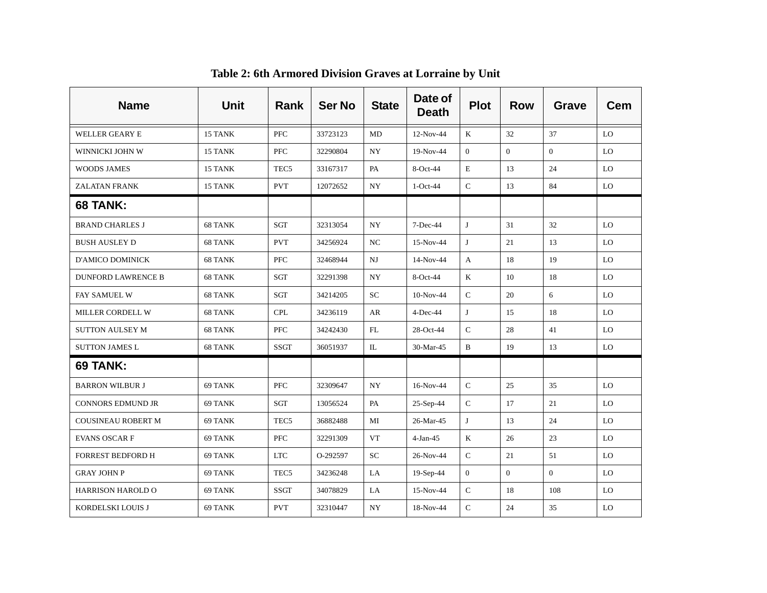| <b>Name</b>               | <b>Unit</b> | Rank             | <b>Ser No</b> | <b>State</b> | Date of<br><b>Death</b> | <b>Plot</b>    | <b>Row</b>     | Grave          | <b>Cem</b> |
|---------------------------|-------------|------------------|---------------|--------------|-------------------------|----------------|----------------|----------------|------------|
| WELLER GEARY E            | 15 TANK     | <b>PFC</b>       | 33723123      | MD           | 12-Nov-44               | K              | 32             | 37             | LO         |
| WINNICKI JOHN W           | 15 TANK     | PFC              | 32290804      | NY           | 19-Nov-44               | $\overline{0}$ | $\overline{0}$ | $\overline{0}$ | <b>LO</b>  |
| <b>WOODS JAMES</b>        | 15 TANK     | TEC <sub>5</sub> | 33167317      | PA           | 8-Oct-44                | $\mathbf E$    | 13             | 24             | LO         |
| <b>ZALATAN FRANK</b>      | 15 TANK     | <b>PVT</b>       | 12072652      | NY           | $1-Oct-44$              | $\mathsf{C}$   | 13             | 84             | LO         |
| 68 TANK:                  |             |                  |               |              |                         |                |                |                |            |
| <b>BRAND CHARLES J</b>    | 68 TANK     | SGT              | 32313054      | NY           | $7-Dec-44$              | J              | 31             | 32             | LO         |
| <b>BUSH AUSLEY D</b>      | 68 TANK     | <b>PVT</b>       | 34256924      | NC           | 15-Nov-44               | J              | 21             | 13             | LO         |
| D'AMICO DOMINICK          | 68 TANK     | <b>PFC</b>       | 32468944      | $N$ J        | 14-Nov-44               | A              | 18             | 19             | LO         |
| <b>DUNFORD LAWRENCE B</b> | 68 TANK     | SGT              | 32291398      | NY.          | $8-Oct-44$              | K              | 10             | 18             | LO         |
| FAY SAMUEL W              | 68 TANK     | SGT              | 34214205      | SC           | $10-Nov-44$             | ${\bf C}$      | 20             | 6              | LO         |
| MILLER CORDELL W          | 68 TANK     | <b>CPL</b>       | 34236119      | AR           | $4$ -Dec-44             | J              | 15             | 18             | LO         |
| <b>SUTTON AULSEY M</b>    | 68 TANK     | <b>PFC</b>       | 34242430      | FL           | 28-Oct-44               | $\mathsf{C}$   | 28             | 41             | LO         |
| <b>SUTTON JAMES L</b>     | 68 TANK     | <b>SSGT</b>      | 36051937      | IL           | 30-Mar-45               | B              | 19             | 13             | LO         |
| 69 TANK:                  |             |                  |               |              |                         |                |                |                |            |
| <b>BARRON WILBUR J</b>    | 69 TANK     | <b>PFC</b>       | 32309647      | <b>NY</b>    | 16-Nov-44               | $\mathsf{C}$   | 25             | 35             | LO         |
| <b>CONNORS EDMUND JR</b>  | 69 TANK     | SGT              | 13056524      | PA           | 25-Sep-44               | $\mathsf{C}$   | 17             | 21             | <b>LO</b>  |
| <b>COUSINEAU ROBERT M</b> | 69 TANK     | TEC <sub>5</sub> | 36882488      | MI           | 26-Mar-45               | J              | 13             | 24             | LO         |
| <b>EVANS OSCARF</b>       | 69 TANK     | PFC              | 32291309      | VT           | $4-Jan-45$              | K              | 26             | 23             | LO.        |
| <b>FORREST BEDFORD H</b>  | 69 TANK     | <b>LTC</b>       | O-292597      | <b>SC</b>    | 26-Nov-44               | ${\bf C}$      | 21             | 51             | LO         |
| <b>GRAY JOHN P</b>        | 69 TANK     | TEC <sub>5</sub> | 34236248      | LA           | 19-Sep-44               | $\overline{0}$ | $\overline{0}$ | $\overline{0}$ | LO         |
| <b>HARRISON HAROLD O</b>  | 69 TANK     | <b>SSGT</b>      | 34078829      | LA           | 15-Nov-44               | $\mathsf{C}$   | 18             | 108            | LO         |
| KORDELSKI LOUIS J         | 69 TANK     | <b>PVT</b>       | 32310447      | NY           | 18-Nov-44               | $\mathsf{C}$   | 24             | 35             | LO         |

#### **Table 2: 6th Armored Division Graves at Lorraine by Unit**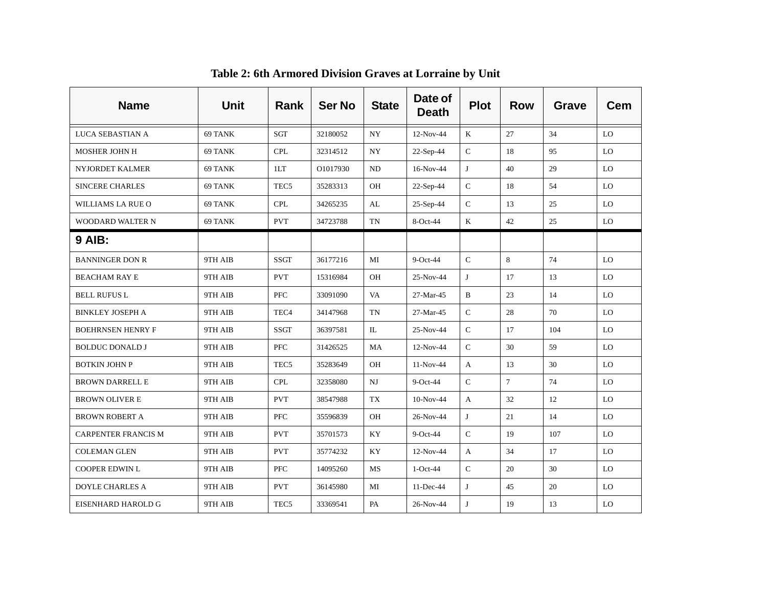| <b>Name</b>                | <b>Unit</b> | <b>Rank</b>      | <b>Ser No</b> | <b>State</b> | Date of<br><b>Death</b> | <b>Plot</b>  | <b>Row</b> | Grave | <b>Cem</b> |
|----------------------------|-------------|------------------|---------------|--------------|-------------------------|--------------|------------|-------|------------|
| LUCA SEBASTIAN A           | 69 TANK     | SGT              | 32180052      | NY.          | $12-Nov-44$             | K            | 27         | 34    | LO.        |
| <b>MOSHER JOHN H</b>       | 69 TANK     | <b>CPL</b>       | 32314512      | NY.          | 22-Sep-44               | $\mathbf C$  | 18         | 95    | LO.        |
| <b>NYJORDET KALMER</b>     | 69 TANK     | 1LT              | O1017930      | ND           | 16-Nov-44               | J            | 40         | 29    | LO.        |
| <b>SINCERE CHARLES</b>     | 69 TANK     | TEC <sub>5</sub> | 35283313      | OH           | 22-Sep-44               | $\mathbf C$  | 18         | 54    | LO         |
| WILLIAMS LA RUE O          | 69 TANK     | CPL              | 34265235      | AL           | $25-Sep-44$             | $\mathsf{C}$ | 13         | 25    | LO         |
| <b>WOODARD WALTER N</b>    | 69 TANK     | <b>PVT</b>       | 34723788      | TN           | 8-Oct-44                | K            | 42         | 25    | LO         |
| <b>9 AIB:</b>              |             |                  |               |              |                         |              |            |       |            |
| <b>BANNINGER DON R</b>     | 9TH AIB     | <b>SSGT</b>      | 36177216      | MI           | $9$ -Oct-44             | $\mathsf{C}$ | 8          | 74    | LO         |
| <b>BEACHAM RAY E</b>       | 9TH AIB     | <b>PVT</b>       | 15316984      | <b>OH</b>    | 25-Nov-44               | J            | 17         | 13    | LO         |
| BELL RUFUS L               | 9TH AIB     | <b>PFC</b>       | 33091090      | VA           | 27-Mar-45               | B            | 23         | 14    | LO         |
| <b>BINKLEY JOSEPH A</b>    | 9TH AIB     | TEC <sub>4</sub> | 34147968      | TN           | 27-Mar-45               | $\mathsf C$  | 28         | 70    | LO         |
| <b>BOEHRNSEN HENRY F</b>   | 9TH AIB     | <b>SSGT</b>      | 36397581      | IL           | 25-Nov-44               | $\mathsf C$  | 17         | 104   | LO         |
| <b>BOLDUC DONALD J</b>     | 9TH AIB     | <b>PFC</b>       | 31426525      | MA           | 12-Nov-44               | $\mathsf C$  | 30         | 59    | LO         |
| <b>BOTKIN JOHN P</b>       | 9TH AIB     | TEC <sub>5</sub> | 35283649      | OH           | 11-Nov-44               | $\mathbf{A}$ | 13         | 30    | LO         |
| <b>BROWN DARRELL E</b>     | 9TH AIB     | CPL              | 32358080      | NJ           | $9$ -Oct-44             | $\mathsf C$  | $\tau$     | 74    | LO         |
| <b>BROWN OLIVER E</b>      | 9TH AIB     | <b>PVT</b>       | 38547988      | TX           | $10-Nov-44$             | A            | 32         | 12    | LO         |
| <b>BROWN ROBERT A</b>      | 9TH AIB     | <b>PFC</b>       | 35596839      | OH           | 26-Nov-44               | J            | 21         | 14    | LO.        |
| <b>CARPENTER FRANCIS M</b> | 9TH AIB     | <b>PVT</b>       | 35701573      | KY           | $9$ -Oct-44             | $\mathbf C$  | 19         | 107   | LO         |
| <b>COLEMAN GLEN</b>        | 9TH AIB     | <b>PVT</b>       | 35774232      | KY           | $12-Nov-44$             | A            | 34         | 17    | LO         |
| <b>COOPER EDWIN L</b>      | 9TH AIB     | <b>PFC</b>       | 14095260      | MS           | $1-Oct-44$              | $\mathsf C$  | 20         | 30    | LO         |
| <b>DOYLE CHARLES A</b>     | 9TH AIB     | <b>PVT</b>       | 36145980      | MI           | $11$ -Dec-44            | J            | 45         | 20    | LO         |
| EISENHARD HAROLD G         | 9TH AIB     | TEC <sub>5</sub> | 33369541      | PA           | 26-Nov-44               | J            | 19         | 13    | LO         |

**Table 2: 6th Armored Division Graves at Lorraine by Unit**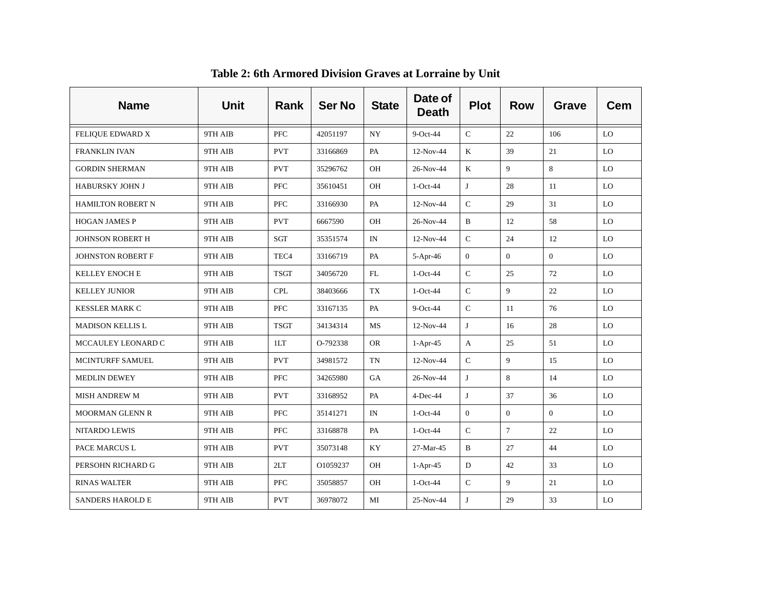| <b>Name</b>              | <b>Unit</b> | Rank             | <b>Ser No</b> | <b>State</b>             | Date of<br><b>Death</b> | <b>Plot</b>    | <b>Row</b>     | Grave          | <b>Cem</b> |
|--------------------------|-------------|------------------|---------------|--------------------------|-------------------------|----------------|----------------|----------------|------------|
| <b>FELIQUE EDWARD X</b>  | 9TH AIB     | <b>PFC</b>       | 42051197      | NY.                      | $9$ -Oct-44             | $\mathsf{C}$   | 22             | 106            | LO.        |
| <b>FRANKLIN IVAN</b>     | 9TH AIB     | <b>PVT</b>       | 33166869      | PA                       | 12-Nov-44               | K              | 39             | 21             | LO         |
| <b>GORDIN SHERMAN</b>    | 9TH AIB     | <b>PVT</b>       | 35296762      | OH                       | 26-Nov-44               | $\mathbf K$    | 9              | 8              | LO         |
| <b>HABURSKY JOHN J</b>   | 9TH AIB     | PFC              | 35610451      | OH                       | $1-Oct-44$              | J              | 28             | 11             | LO         |
| <b>HAMILTON ROBERT N</b> | 9TH AIB     | <b>PFC</b>       | 33166930      | PA                       | 12-Nov-44               | $\mathsf{C}$   | 29             | 31             | LO         |
| <b>HOGAN JAMES P</b>     | 9TH AIB     | <b>PVT</b>       | 6667590       | OH                       | 26-Nov-44               | B              | 12             | 58             | LO         |
| <b>JOHNSON ROBERT H</b>  | 9TH AIB     | SGT              | 35351574      | $\ensuremath{\text{IN}}$ | 12-Nov-44               | ${\bf C}$      | 24             | 12             | LO         |
| JOHNSTON ROBERT F        | 9TH AIB     | TEC <sub>4</sub> | 33166719      | PA                       | $5-Apr-46$              | $\overline{0}$ | $\Omega$       | $\theta$       | LO         |
| <b>KELLEY ENOCH E</b>    | 9TH AIB     | <b>TSGT</b>      | 34056720      | FL                       | $1-Oct-44$              | ${\bf C}$      | 25             | 72             | LO         |
| <b>KELLEY JUNIOR</b>     | 9TH AIB     | <b>CPL</b>       | 38403666      | TX                       | $1-Oct-44$              | $\mathbf C$    | 9              | 22             | LO         |
| <b>KESSLER MARK C</b>    | 9TH AIB     | <b>PFC</b>       | 33167135      | PA                       | $9$ -Oct-44             | $\mathsf{C}$   | 11             | 76             | LO         |
| <b>MADISON KELLIS L</b>  | 9TH AIB     | <b>TSGT</b>      | 34134314      | MS                       | $12-Nov-44$             | J              | 16             | 28             | LO         |
| MCCAULEY LEONARD C       | 9TH AIB     | 1LT              | O-792338      | <b>OR</b>                | $1-Apr-45$              | A              | 25             | 51             | LO         |
| MCINTURFF SAMUEL         | 9TH AIB     | <b>PVT</b>       | 34981572      | TN                       | $12-Nov-44$             | $\mathsf C$    | 9              | 15             | LO         |
| <b>MEDLIN DEWEY</b>      | 9TH AIB     | <b>PFC</b>       | 34265980      | GA                       | 26-Nov-44               | J              | 8              | 14             | LO         |
| <b>MISH ANDREW M</b>     | 9TH AIB     | <b>PVT</b>       | 33168952      | PA                       | $4$ -Dec-44             | J              | 37             | 36             | LO         |
| <b>MOORMAN GLENN R</b>   | 9TH AIB     | ${\rm PFC}$      | 35141271      | IN                       | 1-Oct-44                | $\overline{0}$ | $\overline{0}$ | $\overline{0}$ | LO         |
| <b>NITARDO LEWIS</b>     | 9TH AIB     | <b>PFC</b>       | 33168878      | PA                       | $1-Oct-44$              | $\mathbf C$    | $\overline{7}$ | 22             | LO         |
| PACE MARCUS L            | 9TH AIB     | <b>PVT</b>       | 35073148      | KY                       | 27-Mar-45               | $\, {\bf B}$   | 27             | 44             | LO         |
| PERSOHN RICHARD G        | 9TH AIB     | 2LT              | O1059237      | <b>OH</b>                | $1-Apr-45$              | D              | 42             | 33             | LO         |
| <b>RINAS WALTER</b>      | 9TH AIB     | <b>PFC</b>       | 35058857      | OH                       | $1-Oct-44$              | ${\bf C}$      | 9              | 21             | LO         |
| <b>SANDERS HAROLD E</b>  | 9TH AIB     | <b>PVT</b>       | 36978072      | MI                       | 25-Nov-44               | J              | 29             | 33             | LO         |

**Table 2: 6th Armored Division Graves at Lorraine by Unit**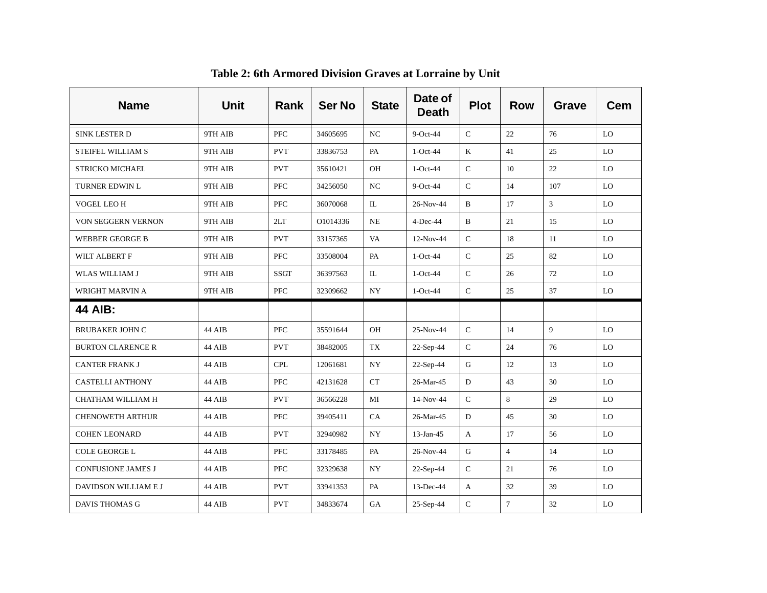| <b>Name</b>               | <b>Unit</b> | <b>Rank</b> | <b>Ser No</b> | <b>State</b>     | Date of<br><b>Death</b> | <b>Plot</b>  | <b>Row</b>     | <b>Grave</b>   | <b>Cem</b> |
|---------------------------|-------------|-------------|---------------|------------------|-------------------------|--------------|----------------|----------------|------------|
| SINK LESTER D             | 9TH AIB     | <b>PFC</b>  | 34605695      | NC               | $9$ -Oct-44             | $\mathbf C$  | 22             | 76             | LO         |
| STEIFEL WILLIAM S         | 9TH AIB     | <b>PVT</b>  | 33836753      | PA               | $1-Oct-44$              | K            | 41             | 25             | <b>LO</b>  |
| STRICKO MICHAEL           | 9TH AIB     | <b>PVT</b>  | 35610421      | OH               | $1-Oct-44$              | ${\bf C}$    | 10             | 22             | <b>LO</b>  |
| <b>TURNER EDWIN L</b>     | 9TH AIB     | <b>PFC</b>  | 34256050      | NC               | $9$ -Oct-44             | $\mathsf{C}$ | 14             | 107            | LO.        |
| VOGEL LEO H               | 9TH AIB     | <b>PFC</b>  | 36070068      | IL               | 26-Nov-44               | B            | 17             | $\mathfrak{Z}$ | LO         |
| VON SEGGERN VERNON        | 9TH AIB     | 2LT         | O1014336      | <b>NE</b>        | $4$ -Dec-44             | B            | 21             | 15             | LO.        |
| <b>WEBBER GEORGE B</b>    | 9TH AIB     | <b>PVT</b>  | 33157365      | VA               | 12-Nov-44               | ${\bf C}$    | 18             | 11             | LO         |
| WILT ALBERT F             | 9TH AIB     | <b>PFC</b>  | 33508004      | PA               | $1-Oct-44$              | $\mathbf C$  | 25             | 82             | LO         |
| <b>WLAS WILLIAM J</b>     | 9TH AIB     | <b>SSGT</b> | 36397563      | $\mathbb{L}$     | $1-Oct-44$              | $\mathsf C$  | 26             | 72             | LO         |
| WRIGHT MARVIN A           | 9TH AIB     | PFC         | 32309662      | NY               | $1-Oct-44$              | ${\bf C}$    | 25             | 37             | LO         |
| <b>44 AIB:</b>            |             |             |               |                  |                         |              |                |                |            |
| <b>BRUBAKER JOHN C</b>    | 44 AIB      | <b>PFC</b>  | 35591644      | OH               | 25-Nov-44               | $\mathsf{C}$ | 14             | 9              | LO         |
| <b>BURTON CLARENCE R</b>  | 44 AIB      | <b>PVT</b>  | 38482005      | TX               | 22-Sep-44               | ${\bf C}$    | 24             | 76             | LO         |
| <b>CANTER FRANK J</b>     | 44 AIB      | <b>CPL</b>  | 12061681      | $_{\mathrm{NY}}$ | 22-Sep-44               | $\mathsf G$  | 12             | 13             | LO         |
| <b>CASTELLI ANTHONY</b>   | 44 AIB      | <b>PFC</b>  | 42131628      | CT               | 26-Mar-45               | D            | 43             | 30             | LO         |
| CHATHAM WILLIAM H         | 44 AIB      | <b>PVT</b>  | 36566228      | MI               | 14-Nov-44               | $\mathbf C$  | 8              | 29             | <b>LO</b>  |
| <b>CHENOWETH ARTHUR</b>   | 44 AIB      | <b>PFC</b>  | 39405411      | CA               | 26-Mar-45               | D            | 45             | 30             | <b>LO</b>  |
| <b>COHEN LEONARD</b>      | 44 AIB      | <b>PVT</b>  | 32940982      | NY               | $13$ -Jan-45            | A            | 17             | 56             | <b>LO</b>  |
| COLE GEORGE L             | 44 AIB      | PFC         | 33178485      | PA               | 26-Nov-44               | G            | $\overline{4}$ | 14             | LO.        |
| <b>CONFUSIONE JAMES J</b> | 44 AIB      | <b>PFC</b>  | 32329638      | <b>NY</b>        | 22-Sep-44               | $\mathsf{C}$ | 21             | 76             | LO         |
| DAVIDSON WILLIAM E J      | 44 AIB      | <b>PVT</b>  | 33941353      | PA               | $13$ -Dec-44            | $\mathbf{A}$ | 32             | 39             | LO         |
| DAVIS THOMAS G            | 44 AIB      | <b>PVT</b>  | 34833674      | GA               | 25-Sep-44               | $\mathsf{C}$ | $\overline{7}$ | 32             | LO         |

**Table 2: 6th Armored Division Graves at Lorraine by Unit**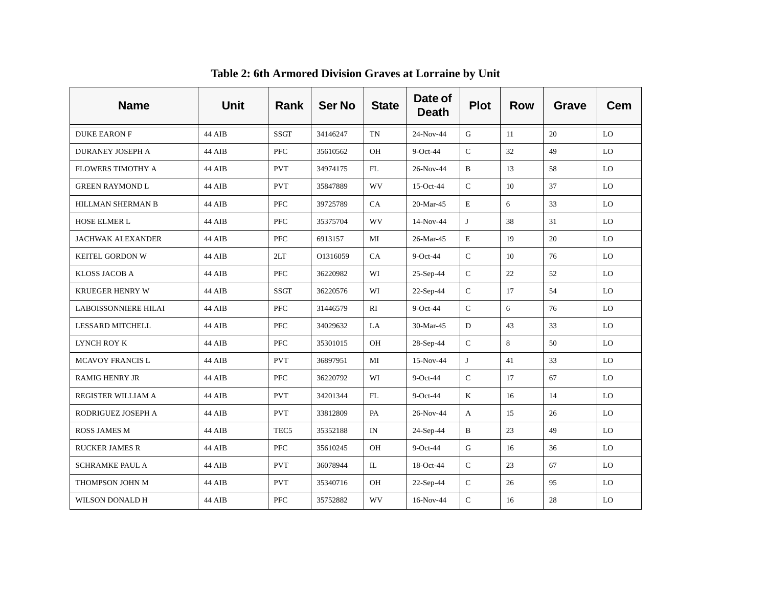| <b>Name</b>                 | <b>Unit</b> | Rank             | <b>Ser No</b> | <b>State</b> | Date of<br><b>Death</b> | <b>Plot</b>  | <b>Row</b> | Grave | <b>Cem</b> |
|-----------------------------|-------------|------------------|---------------|--------------|-------------------------|--------------|------------|-------|------------|
| <b>DUKE EARON F</b>         | 44 AIB      | <b>SSGT</b>      | 34146247      | <b>TN</b>    | 24-Nov-44               | G            | 11         | 20    | LO         |
| <b>DURANEY JOSEPH A</b>     | 44 AIB      | <b>PFC</b>       | 35610562      | OH           | $9$ -Oct-44             | $\mathsf{C}$ | 32         | 49    | LO         |
| <b>FLOWERS TIMOTHY A</b>    | 44 AIB      | <b>PVT</b>       | 34974175      | FL           | 26-Nov-44               | $\, {\bf B}$ | 13         | 58    | LO         |
| <b>GREEN RAYMOND L</b>      | 44 AIB      | <b>PVT</b>       | 35847889      | <b>WV</b>    | 15-Oct-44               | $\mathsf{C}$ | 10         | 37    | LO         |
| HILLMAN SHERMAN B           | 44 AIB      | <b>PFC</b>       | 39725789      | CA           | 20-Mar-45               | $\mathbf E$  | 6          | 33    | LO         |
| <b>HOSE ELMER L</b>         | 44 AIB      | ${\rm PFC}$      | 35375704      | WV           | 14-Nov-44               | J            | 38         | 31    | LO         |
| <b>JACHWAK ALEXANDER</b>    | 44 AIB      | <b>PFC</b>       | 6913157       | MI           | 26-Mar-45               | $\mathbf E$  | 19         | 20    | LO         |
| <b>KEITEL GORDON W</b>      | 44 AIB      | 2LT              | O1316059      | CA           | 9-Oct-44                | $\mathsf C$  | 10         | 76    | LO         |
| KLOSS JACOB A               | 44 AIB      | <b>PFC</b>       | 36220982      | WI           | $25-Sep-44$             | $\mathsf{C}$ | 22         | 52    | LO         |
| <b>KRUEGER HENRY W</b>      | 44 AIB      | <b>SSGT</b>      | 36220576      | WI           | 22-Sep-44               | $\mathsf{C}$ | 17         | 54    | LO         |
| <b>LABOISSONNIERE HILAI</b> | 44 AIB      | <b>PFC</b>       | 31446579      | RI           | $9$ -Oct-44             | $\mathsf{C}$ | 6          | 76    | LO         |
| <b>LESSARD MITCHELL</b>     | 44 AIB      | <b>PFC</b>       | 34029632      | LA           | 30-Mar-45               | ${\rm D}$    | 43         | 33    | LO         |
| LYNCH ROY K                 | 44 AIB      | <b>PFC</b>       | 35301015      | OH           | 28-Sep-44               | $\mathbf C$  | 8          | 50    | LO         |
| <b>MCAVOY FRANCIS L</b>     | 44 AIB      | <b>PVT</b>       | 36897951      | MI           | 15-Nov-44               | J            | 41         | 33    | LO         |
| <b>RAMIG HENRY JR</b>       | 44 AIB      | <b>PFC</b>       | 36220792      | WI           | $9$ -Oct-44             | $\mathbf C$  | 17         | 67    | LO         |
| REGISTER WILLIAM A          | 44 AIB      | <b>PVT</b>       | 34201344      | FL           | 9-Oct-44                | K            | 16         | 14    | LO         |
| RODRIGUEZ JOSEPH A          | 44 AIB      | <b>PVT</b>       | 33812809      | PA           | 26-Nov-44               | $\mathbf{A}$ | 15         | 26    | LO         |
| <b>ROSS JAMES M</b>         | 44 AIB      | TEC <sub>5</sub> | 35352188      | IN           | 24-Sep-44               | $\mathbf B$  | 23         | 49    | LO         |
| <b>RUCKER JAMES R</b>       | 44 AIB      | <b>PFC</b>       | 35610245      | OH           | 9-Oct-44                | ${\bf G}$    | 16         | 36    | LO         |
| <b>SCHRAMKE PAUL A</b>      | 44 AIB      | <b>PVT</b>       | 36078944      | IL           | 18-Oct-44               | $\mathsf{C}$ | 23         | 67    | LO         |
| THOMPSON JOHN M             | 44 AIB      | <b>PVT</b>       | 35340716      | OH           | $22-Sep-44$             | ${\bf C}$    | 26         | 95    | LO         |
| WILSON DONALD H             | 44 AIB      | <b>PFC</b>       | 35752882      | WV           | 16-Nov-44               | $\mathbf C$  | 16         | 28    | LO         |

**Table 2: 6th Armored Division Graves at Lorraine by Unit**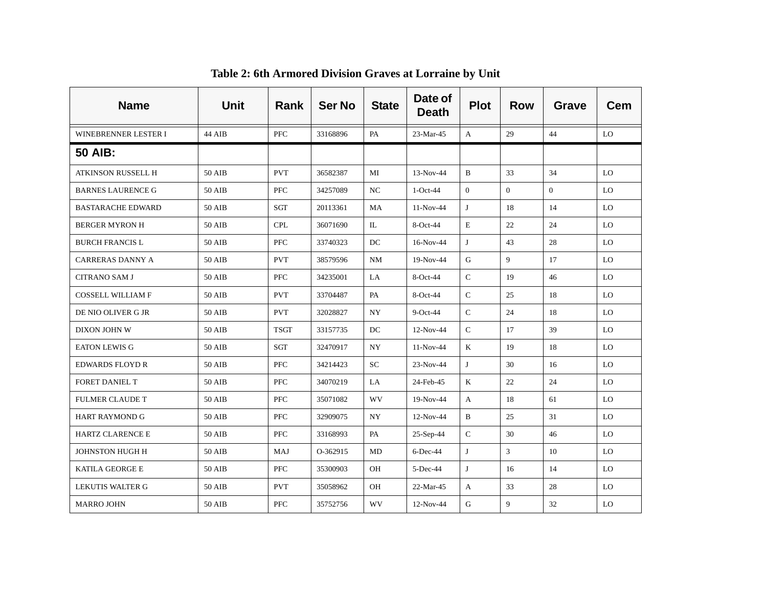| <b>Name</b>              | Unit          | Rank        | <b>Ser No</b> | <b>State</b> | Date of<br><b>Death</b> | <b>Plot</b>  | <b>Row</b>     | Grave    | Cem       |
|--------------------------|---------------|-------------|---------------|--------------|-------------------------|--------------|----------------|----------|-----------|
| WINEBRENNER LESTER I     | 44 AIB        | <b>PFC</b>  | 33168896      | PA           | 23-Mar-45               | A            | 29             | 44       | LO        |
| <b>50 AIB:</b>           |               |             |               |              |                         |              |                |          |           |
| ATKINSON RUSSELL H       | 50 AIB        | <b>PVT</b>  | 36582387      | MI           | $13-Nov-44$             | B            | 33             | 34       | LO.       |
| <b>BARNES LAURENCE G</b> | 50 AIB        | <b>PFC</b>  | 34257089      | NC           | $1-Oct-44$              | $\Omega$     | $\theta$       | $\Omega$ | LO.       |
| <b>BASTARACHE EDWARD</b> | 50 AIB        | SGT         | 20113361      | MA           | $11-Nov-44$             | J            | 18             | 14       | LO        |
| <b>BERGER MYRON H</b>    | 50 AIB        | <b>CPL</b>  | 36071690      | IL           | $8-Oct-44$              | Е            | 22             | 24       | LO.       |
| <b>BURCH FRANCIS L</b>   | 50 AIB        | <b>PFC</b>  | 33740323      | DC           | 16-Nov-44               | J            | 43             | 28       | LO.       |
| CARRERAS DANNY A         | 50 AIB        | <b>PVT</b>  | 38579596      | NM           | $19-Nov-44$             | G            | 9              | 17       | LO.       |
| <b>CITRANO SAM J</b>     | 50 AIB        | PFC         | 34235001      | LA           | 8-Oct-44                | $\mathsf{C}$ | 19             | 46       | <b>LO</b> |
| <b>COSSELL WILLIAM F</b> | 50 AIB        | <b>PVT</b>  | 33704487      | PA           | 8-Oct-44                | $\mathsf{C}$ | 25             | 18       | LO.       |
| DE NIO OLIVER G JR       | 50 AIB        | <b>PVT</b>  | 32028827      | NY           | $9$ -Oct-44             | $\mathsf{C}$ | 24             | 18       | LO        |
| DIXON JOHN W             | 50 AIB        | <b>TSGT</b> | 33157735      | DC           | 12-Nov-44               | $\mathbf C$  | 17             | 39       | LO        |
| <b>EATON LEWIS G</b>     | 50 AIB        | SGT         | 32470917      | NY           | $11-Nov-44$             | K            | 19             | 18       | <b>LO</b> |
| <b>EDWARDS FLOYD R</b>   | 50 AIB        | <b>PFC</b>  | 34214423      | <b>SC</b>    | 23-Nov-44               | J            | 30             | 16       | LO.       |
| FORET DANIEL T           | 50 AIB        | <b>PFC</b>  | 34070219      | LA           | 24-Feb-45               | K            | 22             | 24       | LO        |
| <b>FULMER CLAUDE T</b>   | <b>50 AIB</b> | PFC         | 35071082      | WV           | 19-Nov-44               | A            | 18             | 61       | LO        |
| <b>HART RAYMOND G</b>    | 50 AIB        | <b>PFC</b>  | 32909075      | NY.          | $12-Nov-44$             | B            | 25             | 31       | LO        |
| <b>HARTZ CLARENCE E</b>  | 50 AIB        | <b>PFC</b>  | 33168993      | PA           | 25-Sep-44               | $\mathsf{C}$ | 30             | 46       | LO.       |
| JOHNSTON HUGH H          | 50 AIB        | MAJ         | O-362915      | MD           | $6$ -Dec-44             | J            | $\overline{3}$ | 10       | LO.       |
| <b>KATILA GEORGE E</b>   | 50 AIB        | <b>PFC</b>  | 35300903      | OH           | $5$ -Dec-44             | J            | 16             | 14       | LO        |
| LEKUTIS WALTER G         | 50 AIB        | <b>PVT</b>  | 35058962      | <b>OH</b>    | 22-Mar-45               | A            | 33             | 28       | LO.       |
| <b>MARRO JOHN</b>        | 50 AIB        | <b>PFC</b>  | 35752756      | WV           | 12-Nov-44               | G            | 9              | 32       | LO        |

#### **Table 2: 6th Armored Division Graves at Lorraine by Unit**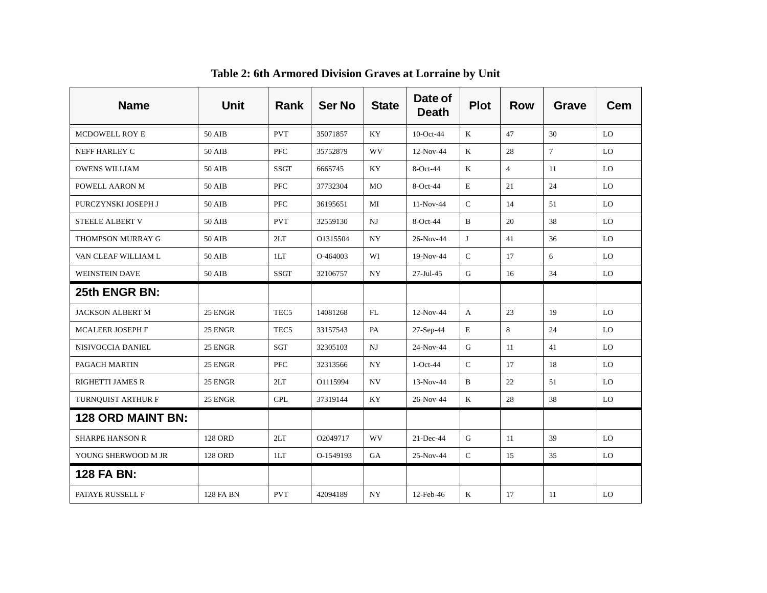| <b>Name</b>              | Unit           | <b>Rank</b>      | <b>Ser No</b> | <b>State</b> | Date of<br><b>Death</b> | <b>Plot</b>   | <b>Row</b>     | Grave  | <b>Cem</b> |
|--------------------------|----------------|------------------|---------------|--------------|-------------------------|---------------|----------------|--------|------------|
| MCDOWELL ROY E           | 50 AIB         | <b>PVT</b>       | 35071857      | KY           | 10-Oct-44               | K             | 47             | 30     | LO         |
| NEFF HARLEY C            | 50 AIB         | <b>PFC</b>       | 35752879      | WV           | $12-Nov-44$             | K             | 28             | $\tau$ | LO         |
| <b>OWENS WILLIAM</b>     | 50 AIB         | <b>SSGT</b>      | 6665745       | KY           | 8-Oct-44                | $\bf K$       | $\overline{4}$ | 11     | LO         |
| POWELL AARON M           | 50 AIB         | <b>PFC</b>       | 37732304      | MO           | 8-Oct-44                | $\mathbf E$   | 21             | 24     | LO         |
| PURCZYNSKI JOSEPH J      | 50 AIB         | <b>PFC</b>       | 36195651      | MI           | 11-Nov-44               | ${\bf C}$     | 14             | 51     | LO         |
| STEELE ALBERT V          | 50 AIB         | <b>PVT</b>       | 32559130      | NJ           | 8-Oct-44                | B             | 20             | 38     | LO         |
| THOMPSON MURRAY G        | 50 AIB         | 2LT              | O1315504      | NY.          | 26-Nov-44               | J             | 41             | 36     | LO         |
| VAN CLEAF WILLIAM L      | 50 AIB         | 1LT              | O-464003      | WI           | 19-Nov-44               | $\mathsf C$   | 17             | 6      | LO         |
| <b>WEINSTEIN DAVE</b>    | 50 AIB         | <b>SSGT</b>      | 32106757      | <b>NY</b>    | $27 -$ Jul $-45$        | G             | 16             | 34     | LO         |
| 25th ENGR BN:            |                |                  |               |              |                         |               |                |        |            |
| <b>JACKSON ALBERT M</b>  | 25 ENGR        | TEC <sub>5</sub> | 14081268      | FL           | 12-Nov-44               | A             | 23             | 19     | LO         |
| MCALEER JOSEPH F         | 25 ENGR        | TEC <sub>5</sub> | 33157543      | PA           | 27-Sep-44               | $\mathbf E$   | 8              | 24     | LO         |
| NISIVOCCIA DANIEL        | 25 ENGR        | SGT              | 32305103      | NJ           | 24-Nov-44               | ${\bf G}$     | 11             | 41     | LO         |
| PAGACH MARTIN            | 25 ENGR        | <b>PFC</b>       | 32313566      | NY.          | $1-Oct-44$              | $\mathcal{C}$ | 17             | 18     | LO         |
| <b>RIGHETTI JAMES R</b>  | 25 ENGR        | 2LT              | O1115994      | NV.          | 13-Nov-44               | B             | 22             | 51     | LO         |
| TURNOUIST ARTHUR F       | 25 ENGR        | <b>CPL</b>       | 37319144      | KY           | 26-Nov-44               | $\mathbf K$   | 28             | 38     | LO         |
| <b>128 ORD MAINT BN:</b> |                |                  |               |              |                         |               |                |        |            |
| <b>SHARPE HANSON R</b>   | 128 ORD        | 2LT              | O2049717      | WV           | $21$ -Dec-44            | G             | 11             | 39     | LO         |
| YOUNG SHERWOOD M JR      | <b>128 ORD</b> | 1LT              | O-1549193     | GA           | 25-Nov-44               | $\mathsf{C}$  | 15             | 35     | LO         |
| 128 FA BN:               |                |                  |               |              |                         |               |                |        |            |
| PATAYE RUSSELL F         | 128 FA BN      | <b>PVT</b>       | 42094189      | <b>NY</b>    | 12-Feb-46               | K             | 17             | 11     | LO         |

**Table 2: 6th Armored Division Graves at Lorraine by Unit**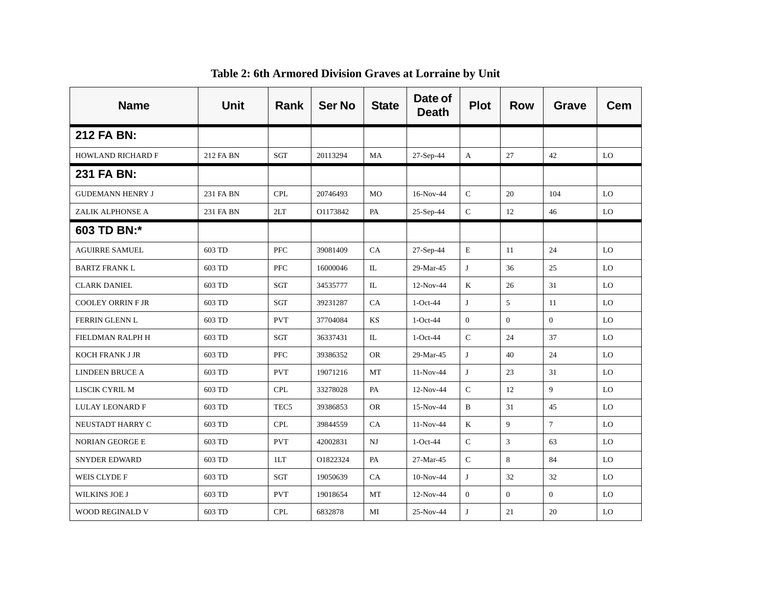| <b>Name</b>              | <b>Unit</b> | <b>Rank</b>      | <b>Ser No</b> | <b>State</b> | Date of<br><b>Death</b> | <b>Plot</b>    | <b>Row</b>     | <b>Grave</b>    | Cem |
|--------------------------|-------------|------------------|---------------|--------------|-------------------------|----------------|----------------|-----------------|-----|
| 212 FA BN:               |             |                  |               |              |                         |                |                |                 |     |
| <b>HOWLAND RICHARD F</b> | 212 FA BN   | SGT              | 20113294      | MA           | 27-Sep-44               | A              | 27             | 42              | LO  |
| 231 FA BN:               |             |                  |               |              |                         |                |                |                 |     |
| <b>GUDEMANN HENRY J</b>  | 231 FA BN   | <b>CPL</b>       | 20746493      | <b>MO</b>    | 16-Nov-44               | $\mathbf C$    | 20             | 104             | LO  |
| ZALIK ALPHONSE A         | 231 FA BN   | 2LT              | O1173842      | PA           | 25-Sep-44               | $\mathbf C$    | 12             | 46              | LO  |
| 603 TD BN:*              |             |                  |               |              |                         |                |                |                 |     |
| <b>AGUIRRE SAMUEL</b>    | 603 TD      | <b>PFC</b>       | 39081409      | CA           | 27-Sep-44               | E              | 11             | 24              | LO  |
| <b>BARTZ FRANK L</b>     | 603 TD      | <b>PFC</b>       | 16000046      | IL           | 29-Mar-45               | J              | 36             | 25              | LO  |
| <b>CLARK DANIEL</b>      | 603 TD      | SGT              | 34535777      | IL           | 12-Nov-44               | K              | 26             | 31              | LO  |
| <b>COOLEY ORRIN F JR</b> | 603 TD      | SGT              | 39231287      | CA           | $1-Oct-44$              | J              | 5              | 11              | LO  |
| FERRIN GLENN L           | 603 TD      | <b>PVT</b>       | 37704084      | KS           | $1-Oct-44$              | $\overline{0}$ | $\theta$       | $\overline{0}$  | LO  |
| FIELDMAN RALPH H         | 603 TD      | SGT              | 36337431      | IL           | $1-Oct-44$              | $\mathsf C$    | 24             | 37              | LO  |
| <b>KOCH FRANK J JR</b>   | 603 TD      | <b>PFC</b>       | 39386352      | <b>OR</b>    | 29-Mar-45               | J              | 40             | 24              | LO  |
| LINDEEN BRUCE A          | 603 TD      | <b>PVT</b>       | 19071216      | MT           | 11-Nov-44               | J              | 23             | 31              | LO  |
| LISCIK CYRIL M           | 603 TD      | <b>CPL</b>       | 33278028      | PA           | 12-Nov-44               | $\mathsf C$    | 12             | 9               | LO  |
| LULAY LEONARD F          | 603 TD      | TEC <sub>5</sub> | 39386853      | <b>OR</b>    | 15-Nov-44               | B              | 31             | 45              | LO  |
| NEUSTADT HARRY C         | 603 TD      | <b>CPL</b>       | 39844559      | CA           | $11-Nov-44$             | K              | 9              | $7\overline{ }$ | LO  |
| <b>NORIAN GEORGE E</b>   | 603 TD      | <b>PVT</b>       | 42002831      | $_{\rm NJ}$  | $1-Oct-44$              | $\mathbf C$    | $\overline{3}$ | 63              | LO  |
| <b>SNYDER EDWARD</b>     | 603 TD      | 1LT              | O1822324      | PA           | 27-Mar-45               | $\mathbf C$    | 8              | 84              | LO  |
| WEIS CLYDE F             | 603 TD      | SGT              | 19050639      | CA           | $10-Nov-44$             | J              | 32             | 32              | LO  |
| <b>WILKINS JOE J</b>     | 603 TD      | <b>PVT</b>       | 19018654      | MT           | 12-Nov-44               | $\mathbf{0}$   | $\overline{0}$ | $\overline{0}$  | LO  |
| <b>WOOD REGINALD V</b>   | 603 TD      | <b>CPL</b>       | 6832878       | MI           | 25-Nov-44               | J              | 21             | 20              | LO  |

**Table 2: 6th Armored Division Graves at Lorraine by Unit**